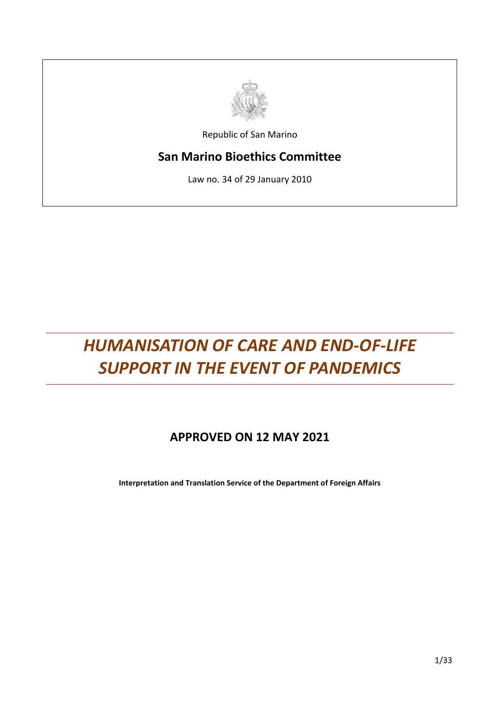

Republic of San Marino

# **San Marino Bioethics Committee**

Law no. 34 of 29 January 2010

# *HUMANISATION OF CARE AND END-OF-LIFE SUPPORT IN THE EVENT OF PANDEMICS*

# **APPROVED ON 12 MAY 2021**

**Interpretation and Translation Service of the Department of Foreign Affairs**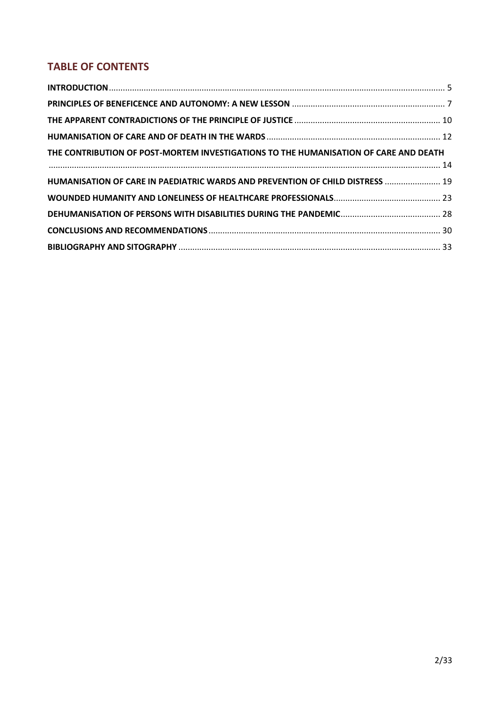## **TABLE OF CONTENTS**

| THE CONTRIBUTION OF POST-MORTEM INVESTIGATIONS TO THE HUMANISATION OF CARE AND DEATH |  |
|--------------------------------------------------------------------------------------|--|
|                                                                                      |  |
| HUMANISATION OF CARE IN PAEDIATRIC WARDS AND PREVENTION OF CHILD DISTRESS  19        |  |
|                                                                                      |  |
|                                                                                      |  |
|                                                                                      |  |
|                                                                                      |  |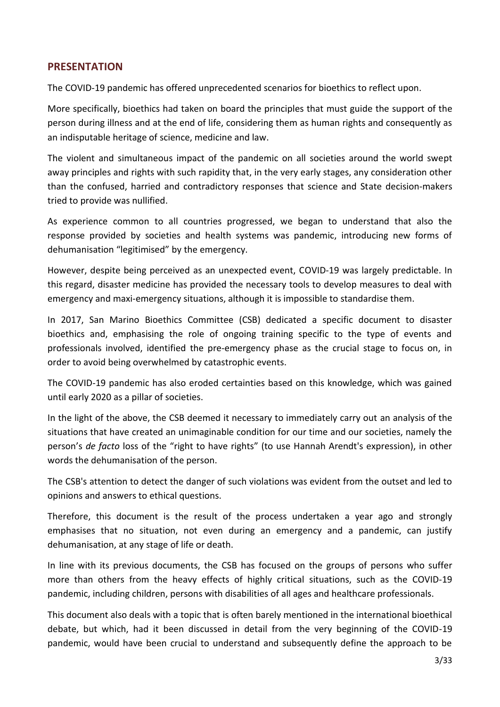#### **PRESENTATION**

The COVID-19 pandemic has offered unprecedented scenarios for bioethics to reflect upon.

More specifically, bioethics had taken on board the principles that must guide the support of the person during illness and at the end of life, considering them as human rights and consequently as an indisputable heritage of science, medicine and law.

The violent and simultaneous impact of the pandemic on all societies around the world swept away principles and rights with such rapidity that, in the very early stages, any consideration other than the confused, harried and contradictory responses that science and State decision-makers tried to provide was nullified.

As experience common to all countries progressed, we began to understand that also the response provided by societies and health systems was pandemic, introducing new forms of dehumanisation "legitimised" by the emergency.

However, despite being perceived as an unexpected event, COVID-19 was largely predictable. In this regard, disaster medicine has provided the necessary tools to develop measures to deal with emergency and maxi-emergency situations, although it is impossible to standardise them.

In 2017, San Marino Bioethics Committee (CSB) dedicated a specific document to disaster bioethics and, emphasising the role of ongoing training specific to the type of events and professionals involved, identified the pre-emergency phase as the crucial stage to focus on, in order to avoid being overwhelmed by catastrophic events.

The COVID-19 pandemic has also eroded certainties based on this knowledge, which was gained until early 2020 as a pillar of societies.

In the light of the above, the CSB deemed it necessary to immediately carry out an analysis of the situations that have created an unimaginable condition for our time and our societies, namely the person's *de facto* loss of the "right to have rights" (to use Hannah Arendt's expression), in other words the dehumanisation of the person.

The CSB's attention to detect the danger of such violations was evident from the outset and led to opinions and answers to ethical questions.

Therefore, this document is the result of the process undertaken a year ago and strongly emphasises that no situation, not even during an emergency and a pandemic, can justify dehumanisation, at any stage of life or death.

In line with its previous documents, the CSB has focused on the groups of persons who suffer more than others from the heavy effects of highly critical situations, such as the COVID-19 pandemic, including children, persons with disabilities of all ages and healthcare professionals.

This document also deals with a topic that is often barely mentioned in the international bioethical debate, but which, had it been discussed in detail from the very beginning of the COVID-19 pandemic, would have been crucial to understand and subsequently define the approach to be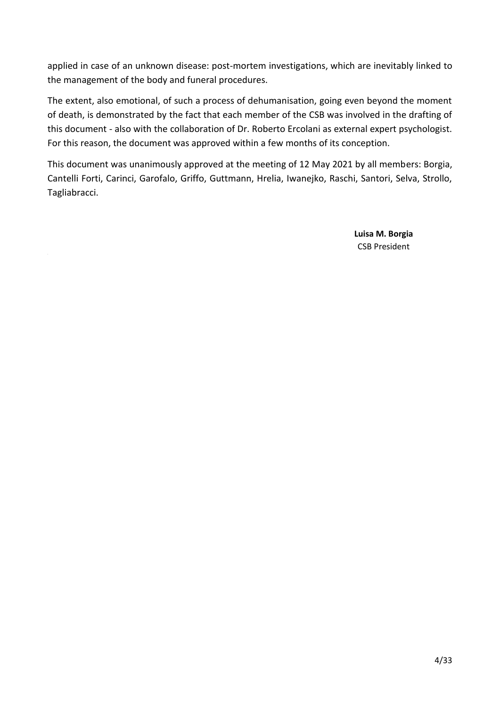applied in case of an unknown disease: post-mortem investigations, which are inevitably linked to the management of the body and funeral procedures.

The extent, also emotional, of such a process of dehumanisation, going even beyond the moment of death, is demonstrated by the fact that each member of the CSB was involved in the drafting of this document - also with the collaboration of Dr. Roberto Ercolani as external expert psychologist. For this reason, the document was approved within a few months of its conception.

This document was unanimously approved at the meeting of 12 May 2021 by all members: Borgia, Cantelli Forti, Carinci, Garofalo, Griffo, Guttmann, Hrelia, Iwanejko, Raschi, Santori, Selva, Strollo, Tagliabracci.

> **Luisa M. Borgia** CSB President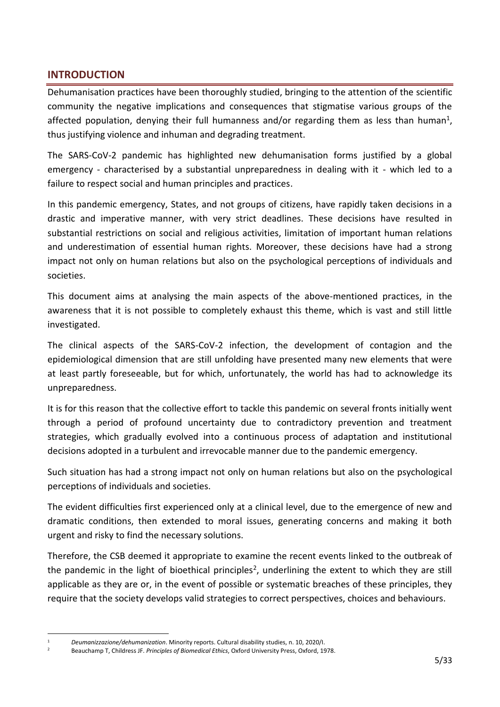#### <span id="page-4-0"></span>**INTRODUCTION**

Dehumanisation practices have been thoroughly studied, bringing to the attention of the scientific community the negative implications and consequences that stigmatise various groups of the affected population, denying their full humanness and/or regarding them as less than human<sup>1</sup>, thus justifying violence and inhuman and degrading treatment.

The SARS-CoV-2 pandemic has highlighted new dehumanisation forms justified by a global emergency - characterised by a substantial unpreparedness in dealing with it - which led to a failure to respect social and human principles and practices.

In this pandemic emergency, States, and not groups of citizens, have rapidly taken decisions in a drastic and imperative manner, with very strict deadlines. These decisions have resulted in substantial restrictions on social and religious activities, limitation of important human relations and underestimation of essential human rights. Moreover, these decisions have had a strong impact not only on human relations but also on the psychological perceptions of individuals and societies.

This document aims at analysing the main aspects of the above-mentioned practices, in the awareness that it is not possible to completely exhaust this theme, which is vast and still little investigated.

The clinical aspects of the SARS-CoV-2 infection, the development of contagion and the epidemiological dimension that are still unfolding have presented many new elements that were at least partly foreseeable, but for which, unfortunately, the world has had to acknowledge its unpreparedness.

It is for this reason that the collective effort to tackle this pandemic on several fronts initially went through a period of profound uncertainty due to contradictory prevention and treatment strategies, which gradually evolved into a continuous process of adaptation and institutional decisions adopted in a turbulent and irrevocable manner due to the pandemic emergency.

Such situation has had a strong impact not only on human relations but also on the psychological perceptions of individuals and societies.

The evident difficulties first experienced only at a clinical level, due to the emergence of new and dramatic conditions, then extended to moral issues, generating concerns and making it both urgent and risky to find the necessary solutions.

Therefore, the CSB deemed it appropriate to examine the recent events linked to the outbreak of the pandemic in the light of bioethical principles<sup>2</sup>, underlining the extent to which they are still applicable as they are or, in the event of possible or systematic breaches of these principles, they require that the society develops valid strategies to correct perspectives, choices and behaviours.

<sup>1</sup> *Deumanizzazione/dehumanization*. Minority reports. Cultural disability studies, n. 10, 2020/I.

<sup>2</sup> Beauchamp T, Childress JF. *Principles of Biomedical Ethics*, Oxford University Press, Oxford, 1978.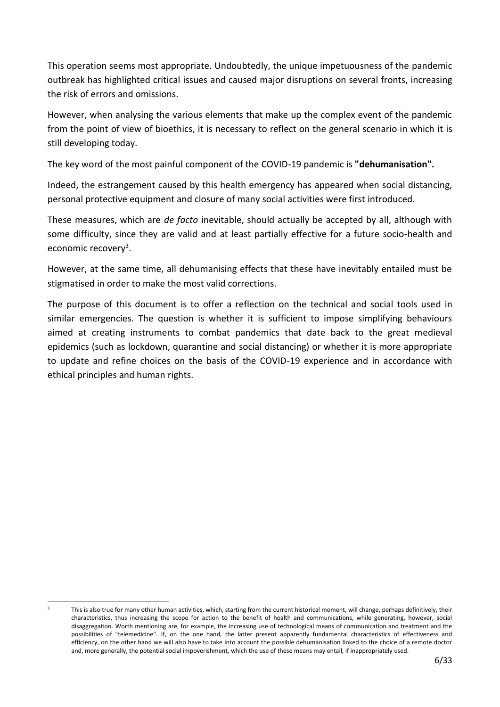This operation seems most appropriate. Undoubtedly, the unique impetuousness of the pandemic outbreak has highlighted critical issues and caused major disruptions on several fronts, increasing the risk of errors and omissions.

However, when analysing the various elements that make up the complex event of the pandemic from the point of view of bioethics, it is necessary to reflect on the general scenario in which it is still developing today.

The key word of the most painful component of the COVID-19 pandemic is **"dehumanisation".**

Indeed, the estrangement caused by this health emergency has appeared when social distancing, personal protective equipment and closure of many social activities were first introduced.

These measures, which are *de facto* inevitable, should actually be accepted by all, although with some difficulty, since they are valid and at least partially effective for a future socio-health and economic recovery<sup>3</sup>.

However, at the same time, all dehumanising effects that these have inevitably entailed must be stigmatised in order to make the most valid corrections.

The purpose of this document is to offer a reflection on the technical and social tools used in similar emergencies. The question is whether it is sufficient to impose simplifying behaviours aimed at creating instruments to combat pandemics that date back to the great medieval epidemics (such as lockdown, quarantine and social distancing) or whether it is more appropriate to update and refine choices on the basis of the COVID-19 experience and in accordance with ethical principles and human rights.

This is also true for many other human activities, which, starting from the current historical moment, will change, perhaps definitively, their characteristics, thus increasing the scope for action to the benefit of health and communications, while generating, however, social disaggregation. Worth mentioning are, for example, the increasing use of technological means of communication and treatment and the possibilities of "telemedicine". If, on the one hand, the latter present apparently fundamental characteristics of effectiveness and efficiency, on the other hand we will also have to take into account the possible dehumanisation linked to the choice of a remote doctor and, more generally, the potential social impoverishment, which the use of these means may entail, if inappropriately used.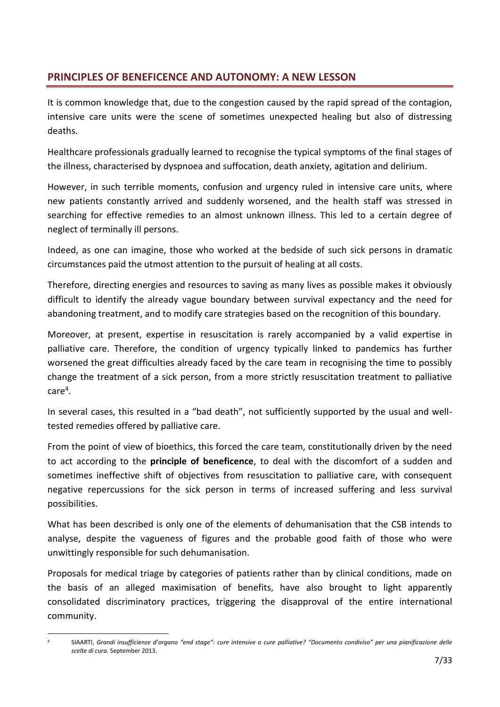## <span id="page-6-0"></span>**PRINCIPLES OF BENEFICENCE AND AUTONOMY: A NEW LESSON**

It is common knowledge that, due to the congestion caused by the rapid spread of the contagion, intensive care units were the scene of sometimes unexpected healing but also of distressing deaths.

Healthcare professionals gradually learned to recognise the typical symptoms of the final stages of the illness, characterised by dyspnoea and suffocation, death anxiety, agitation and delirium.

However, in such terrible moments, confusion and urgency ruled in intensive care units, where new patients constantly arrived and suddenly worsened, and the health staff was stressed in searching for effective remedies to an almost unknown illness. This led to a certain degree of neglect of terminally ill persons.

Indeed, as one can imagine, those who worked at the bedside of such sick persons in dramatic circumstances paid the utmost attention to the pursuit of healing at all costs.

Therefore, directing energies and resources to saving as many lives as possible makes it obviously difficult to identify the already vague boundary between survival expectancy and the need for abandoning treatment, and to modify care strategies based on the recognition of this boundary.

Moreover, at present, expertise in resuscitation is rarely accompanied by a valid expertise in palliative care. Therefore, the condition of urgency typically linked to pandemics has further worsened the great difficulties already faced by the care team in recognising the time to possibly change the treatment of a sick person, from a more strictly resuscitation treatment to palliative care<sup>4</sup>.

In several cases, this resulted in a "bad death", not sufficiently supported by the usual and welltested remedies offered by palliative care.

From the point of view of bioethics, this forced the care team, constitutionally driven by the need to act according to the **principle of beneficence**, to deal with the discomfort of a sudden and sometimes ineffective shift of objectives from resuscitation to palliative care, with consequent negative repercussions for the sick person in terms of increased suffering and less survival possibilities.

What has been described is only one of the elements of dehumanisation that the CSB intends to analyse, despite the vagueness of figures and the probable good faith of those who were unwittingly responsible for such dehumanisation.

Proposals for medical triage by categories of patients rather than by clinical conditions, made on the basis of an alleged maximisation of benefits, have also brought to light apparently consolidated discriminatory practices, triggering the disapproval of the entire international community.

<sup>4</sup> SIAARTI, *Grandi insufficienze d'organo "end stage": cure intensive o cure palliative? "Documento condiviso" per una pianificazione delle scelte di cura.* September 2013.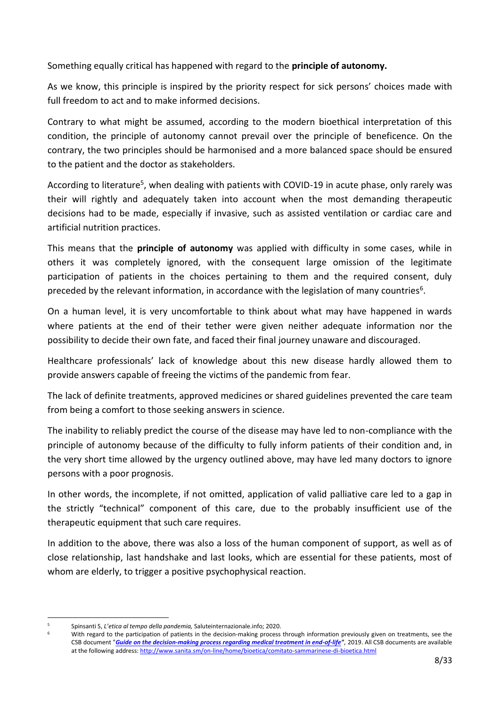Something equally critical has happened with regard to the **principle of autonomy.**

As we know, this principle is inspired by the priority respect for sick persons' choices made with full freedom to act and to make informed decisions.

Contrary to what might be assumed, according to the modern bioethical interpretation of this condition, the principle of autonomy cannot prevail over the principle of beneficence. On the contrary, the two principles should be harmonised and a more balanced space should be ensured to the patient and the doctor as stakeholders.

According to literature<sup>5</sup>, when dealing with patients with COVID-19 in acute phase, only rarely was their will rightly and adequately taken into account when the most demanding therapeutic decisions had to be made, especially if invasive, such as assisted ventilation or cardiac care and artificial nutrition practices.

This means that the **principle of autonomy** was applied with difficulty in some cases, while in others it was completely ignored, with the consequent large omission of the legitimate participation of patients in the choices pertaining to them and the required consent, duly preceded by the relevant information, in accordance with the legislation of many countries<sup>6</sup>.

On a human level, it is very uncomfortable to think about what may have happened in wards where patients at the end of their tether were given neither adequate information nor the possibility to decide their own fate, and faced their final journey unaware and discouraged.

Healthcare professionals' lack of knowledge about this new disease hardly allowed them to provide answers capable of freeing the victims of the pandemic from fear.

The lack of definite treatments, approved medicines or shared guidelines prevented the care team from being a comfort to those seeking answers in science.

The inability to reliably predict the course of the disease may have led to non-compliance with the principle of autonomy because of the difficulty to fully inform patients of their condition and, in the very short time allowed by the urgency outlined above, may have led many doctors to ignore persons with a poor prognosis.

In other words, the incomplete, if not omitted, application of valid palliative care led to a gap in the strictly "technical" component of this care, due to the probably insufficient use of the therapeutic equipment that such care requires.

In addition to the above, there was also a loss of the human component of support, as well as of close relationship, last handshake and last looks, which are essential for these patients, most of whom are elderly, to trigger a positive psychophysical reaction.

<sup>5</sup> Spinsanti S, *L'etica al tempo della pandemia,* Saluteinternazionale.info; 2020.

With regard to the participation of patients in the decision-making process through information previously given on treatments, see the CSB document "*[Guide on the decision-making process regarding medical treatment in end-of-life"](file:///C:/Users/albin/Downloads/2110833DocumentoCSB_Fin%20(1).pdf)*, 2019. All CSB documents are available at the following address[: http://www.sanita.sm/on-line/home/bioetica/comitato-sammarinese-di-bioetica.html](http://www.sanita.sm/on-line/home/bioetica/comitato-sammarinese-di-bioetica.html)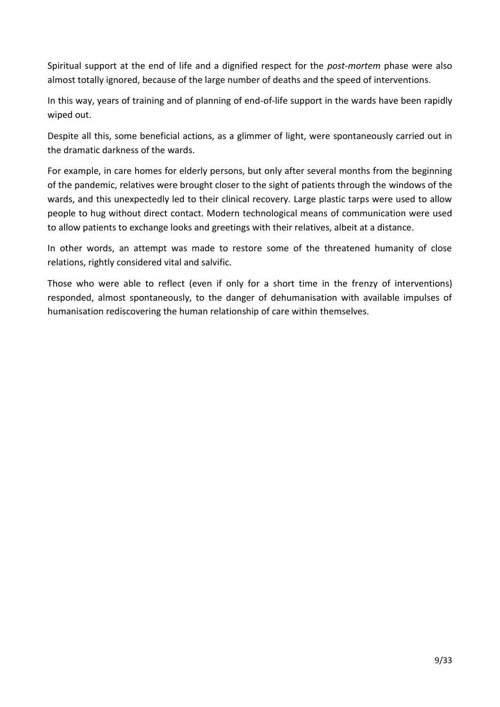Spiritual support at the end of life and a dignified respect for the *post-mortem* phase were also almost totally ignored, because of the large number of deaths and the speed of interventions.

In this way, years of training and of planning of end-of-life support in the wards have been rapidly wiped out.

Despite all this, some beneficial actions, as a glimmer of light, were spontaneously carried out in the dramatic darkness of the wards.

For example, in care homes for elderly persons, but only after several months from the beginning of the pandemic, relatives were brought closer to the sight of patients through the windows of the wards, and this unexpectedly led to their clinical recovery. Large plastic tarps were used to allow people to hug without direct contact. Modern technological means of communication were used to allow patients to exchange looks and greetings with their relatives, albeit at a distance.

In other words, an attempt was made to restore some of the threatened humanity of close relations, rightly considered vital and salvific.

Those who were able to reflect (even if only for a short time in the frenzy of interventions) responded, almost spontaneously, to the danger of dehumanisation with available impulses of humanisation rediscovering the human relationship of care within themselves.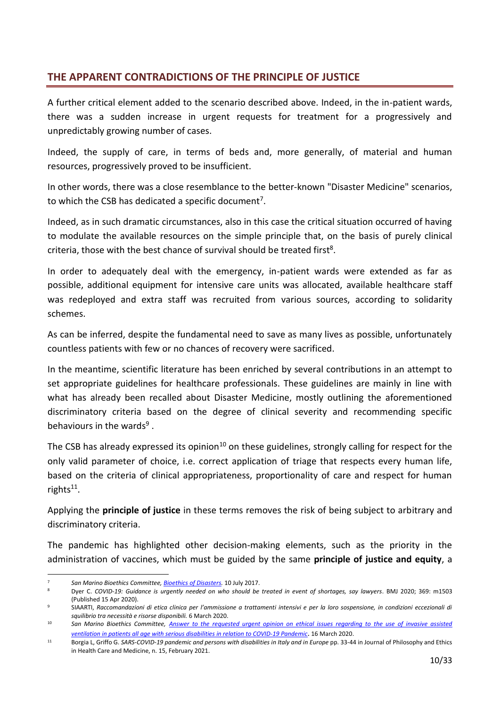## <span id="page-9-0"></span>**THE APPARENT CONTRADICTIONS OF THE PRINCIPLE OF JUSTICE**

A further critical element added to the scenario described above. Indeed, in the in-patient wards, there was a sudden increase in urgent requests for treatment for a progressively and unpredictably growing number of cases.

Indeed, the supply of care, in terms of beds and, more generally, of material and human resources, progressively proved to be insufficient.

In other words, there was a close resemblance to the better-known "Disaster Medicine" scenarios, to which the CSB has dedicated a specific document<sup>7</sup>.

Indeed, as in such dramatic circumstances, also in this case the critical situation occurred of having to modulate the available resources on the simple principle that, on the basis of purely clinical criteria, those with the best chance of survival should be treated first<sup>8</sup>.

In order to adequately deal with the emergency, in-patient wards were extended as far as possible, additional equipment for intensive care units was allocated, available healthcare staff was redeployed and extra staff was recruited from various sources, according to solidarity schemes.

As can be inferred, despite the fundamental need to save as many lives as possible, unfortunately countless patients with few or no chances of recovery were sacrificed.

In the meantime, scientific literature has been enriched by several contributions in an attempt to set appropriate guidelines for healthcare professionals. These guidelines are mainly in line with what has already been recalled about Disaster Medicine, mostly outlining the aforementioned discriminatory criteria based on the degree of clinical severity and recommending specific behaviours in the wards<sup>9</sup>.

The CSB has already expressed its opinion<sup>10</sup> on these guidelines, strongly calling for respect for the only valid parameter of choice, i.e. correct application of triage that respects every human life, based on the criteria of clinical appropriateness, proportionality of care and respect for human rights<sup>11</sup>.

Applying the **principle of justice** in these terms removes the risk of being subject to arbitrary and discriminatory criteria.

The pandemic has highlighted other decision-making elements, such as the priority in the administration of vaccines, which must be guided by the same **principle of justice and equity**, a

<sup>7</sup> *San Marino Bioethics Committee, [Bioethics of Disasters.](file:///C:/Users/albin/Downloads/2101881CSB_Bioethicsofd.pdf)* 10 July 2017.

<sup>8</sup> Dyer C. *COVID-19: Guidance is urgently needed on who should be treated in event of shortages, say lawyers*. BMJ 2020; 369: m1503 (Published 15 Apr 2020).

<sup>9</sup> SIAARTI, *Raccomandazioni di etica clinica per l'ammissione a trattamenti intensivi e per la loro sospensione, in condizioni eccezionali di squilibrio tra necessità e risorse disponibili.* 6 March 2020.

<sup>10</sup> *San Marino Bioethics Committee, [Answer to the requested urgent opinion on ethical issues regarding to the use of invasive assisted](file:///C:/Users/albin/Downloads/2116023STATEMENTCSB_COV%20(1).pdf)  [ventilation in patients all age with serious disabilities in relation](file:///C:/Users/albin/Downloads/2116023STATEMENTCSB_COV%20(1).pdf) to COVID-19 Pandemic*. 16 March 2020.

<sup>11</sup> Borgia L, Griffo G. SARS-COVID-19 pandemic and persons with disabilities in Italy and in Europe pp. 33-44 in Journal of Philosophy and Ethics in Health Care and Medicine, n. 15, February 2021.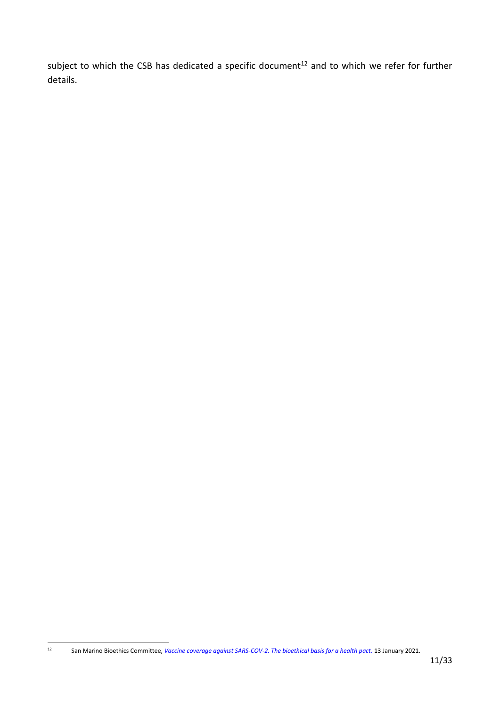subject to which the CSB has dedicated a specific document<sup>12</sup> and to which we refer for further details.

<sup>12</sup> San Marino Bioethics Committee, *[Vaccine coverage against SARS-COV-2. The bioethical basis for a health pact](file:///C:/Users/albin/Downloads/2122740VACCINECOVERAGEA.pdf)*. 13 January 2021.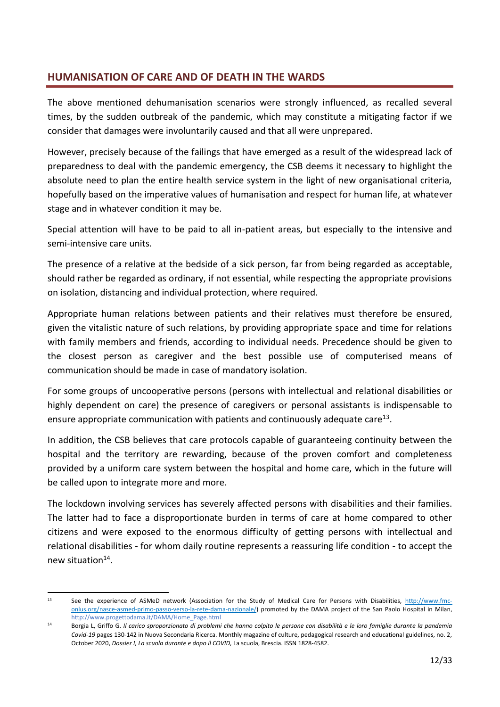## <span id="page-11-0"></span>**HUMANISATION OF CARE AND OF DEATH IN THE WARDS**

The above mentioned dehumanisation scenarios were strongly influenced, as recalled several times, by the sudden outbreak of the pandemic, which may constitute a mitigating factor if we consider that damages were involuntarily caused and that all were unprepared.

However, precisely because of the failings that have emerged as a result of the widespread lack of preparedness to deal with the pandemic emergency, the CSB deems it necessary to highlight the absolute need to plan the entire health service system in the light of new organisational criteria, hopefully based on the imperative values of humanisation and respect for human life, at whatever stage and in whatever condition it may be.

Special attention will have to be paid to all in-patient areas, but especially to the intensive and semi-intensive care units.

The presence of a relative at the bedside of a sick person, far from being regarded as acceptable, should rather be regarded as ordinary, if not essential, while respecting the appropriate provisions on isolation, distancing and individual protection, where required.

Appropriate human relations between patients and their relatives must therefore be ensured, given the vitalistic nature of such relations, by providing appropriate space and time for relations with family members and friends, according to individual needs. Precedence should be given to the closest person as caregiver and the best possible use of computerised means of communication should be made in case of mandatory isolation.

For some groups of uncooperative persons (persons with intellectual and relational disabilities or highly dependent on care) the presence of caregivers or personal assistants is indispensable to ensure appropriate communication with patients and continuously adequate care<sup>13</sup>.

In addition, the CSB believes that care protocols capable of guaranteeing continuity between the hospital and the territory are rewarding, because of the proven comfort and completeness provided by a uniform care system between the hospital and home care, which in the future will be called upon to integrate more and more.

The lockdown involving services has severely affected persons with disabilities and their families. The latter had to face a disproportionate burden in terms of care at home compared to other citizens and were exposed to the enormous difficulty of getting persons with intellectual and relational disabilities - for whom daily routine represents a reassuring life condition - to accept the new situation<sup>14</sup>.

<sup>13</sup> See the experience of ASMeD network (Association for the Study of Medical Care for Persons with Disabilities, [http://www.fmc](http://www.fmc-onlus.org/nasce-asmed-primo-passo-verso-la-rete-dama-nazionale/)[onlus.org/nasce-asmed-primo-passo-verso-la-rete-dama-nazionale/\)](http://www.fmc-onlus.org/nasce-asmed-primo-passo-verso-la-rete-dama-nazionale/) promoted by the DAMA project of the San Paolo Hospital in Milan, [http://www.progettodama.it/DAMA/Home\\_Page.html](http://www.progettodama.it/DAMA/Home_Page.html)

<sup>14</sup> Borgia L, Griffo G. *Il carico sproporzionato di problemi che hanno colpito le persone con disabilità e le loro famiglie durante la pandemia Covid-19* pages 130-142 in Nuova Secondaria Ricerca. Monthly magazine of culture, pedagogical research and educational guidelines, no. 2, October 2020, *Dossier I, La scuola durante e dopo il COVID,* La scuola, Brescia. ISSN 1828-4582.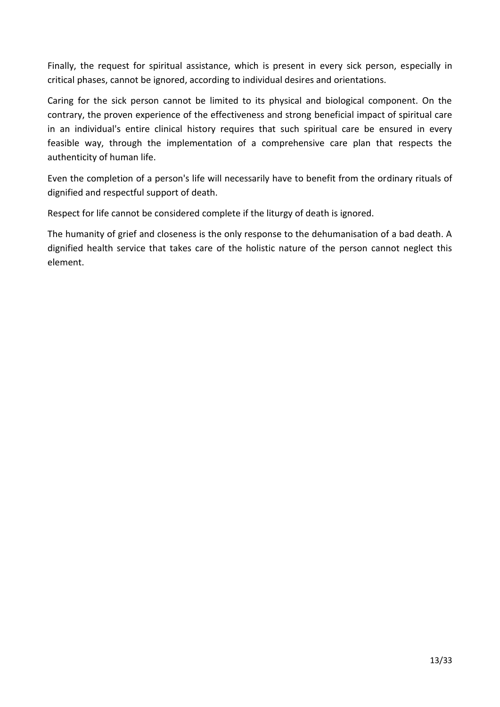Finally, the request for spiritual assistance, which is present in every sick person, especially in critical phases, cannot be ignored, according to individual desires and orientations.

Caring for the sick person cannot be limited to its physical and biological component. On the contrary, the proven experience of the effectiveness and strong beneficial impact of spiritual care in an individual's entire clinical history requires that such spiritual care be ensured in every feasible way, through the implementation of a comprehensive care plan that respects the authenticity of human life.

Even the completion of a person's life will necessarily have to benefit from the ordinary rituals of dignified and respectful support of death.

Respect for life cannot be considered complete if the liturgy of death is ignored.

The humanity of grief and closeness is the only response to the dehumanisation of a bad death. A dignified health service that takes care of the holistic nature of the person cannot neglect this element.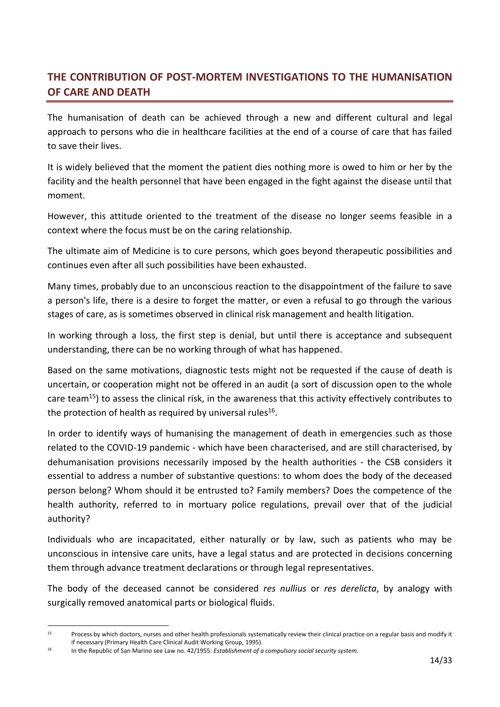## <span id="page-13-0"></span>**THE CONTRIBUTION OF POST-MORTEM INVESTIGATIONS TO THE HUMANISATION OF CARE AND DEATH**

The humanisation of death can be achieved through a new and different cultural and legal approach to persons who die in healthcare facilities at the end of a course of care that has failed to save their lives.

It is widely believed that the moment the patient dies nothing more is owed to him or her by the facility and the health personnel that have been engaged in the fight against the disease until that moment.

However, this attitude oriented to the treatment of the disease no longer seems feasible in a context where the focus must be on the caring relationship.

The ultimate aim of Medicine is to cure persons, which goes beyond therapeutic possibilities and continues even after all such possibilities have been exhausted.

Many times, probably due to an unconscious reaction to the disappointment of the failure to save a person's life, there is a desire to forget the matter, or even a refusal to go through the various stages of care, as is sometimes observed in clinical risk management and health litigation.

In working through a loss, the first step is denial, but until there is acceptance and subsequent understanding, there can be no working through of what has happened.

Based on the same motivations, diagnostic tests might not be requested if the cause of death is uncertain, or cooperation might not be offered in an audit (a sort of discussion open to the whole care team<sup>15</sup>) to assess the clinical risk, in the awareness that this activity effectively contributes to the protection of health as required by universal rules<sup>16</sup>.

In order to identify ways of humanising the management of death in emergencies such as those related to the COVID-19 pandemic - which have been characterised, and are still characterised, by dehumanisation provisions necessarily imposed by the health authorities - the CSB considers it essential to address a number of substantive questions: to whom does the body of the deceased person belong? Whom should it be entrusted to? Family members? Does the competence of the health authority, referred to in mortuary police regulations, prevail over that of the judicial authority?

Individuals who are incapacitated, either naturally or by law, such as patients who may be unconscious in intensive care units, have a legal status and are protected in decisions concerning them through advance treatment declarations or through legal representatives.

The body of the deceased cannot be considered *res nullius* or *res derelicta*, by analogy with surgically removed anatomical parts or biological fluids.

<sup>&</sup>lt;sup>15</sup> Process by which doctors, nurses and other health professionals systematically review their clinical practice on a regular basis and modify it if necessary (Primary Health Care Clinical Audit Working Group, 1995).

<sup>16</sup> In the Republic of San Marino see Law no. 42/1955: *Establishment of a compulsory social security system.*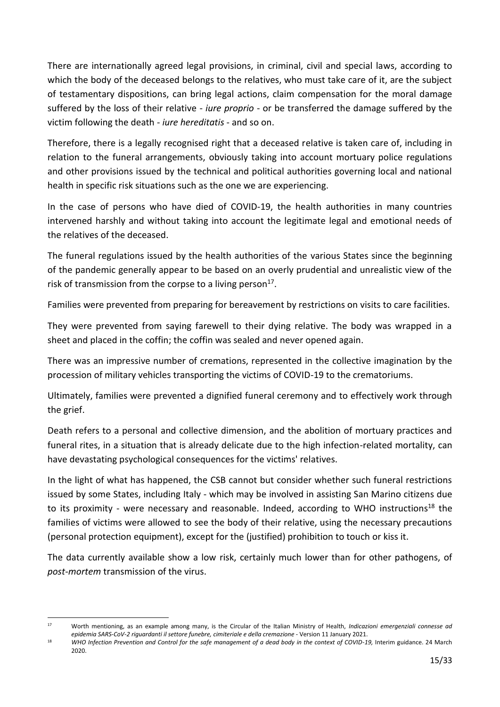There are internationally agreed legal provisions, in criminal, civil and special laws, according to which the body of the deceased belongs to the relatives, who must take care of it, are the subject of testamentary dispositions, can bring legal actions, claim compensation for the moral damage suffered by the loss of their relative - *iure proprio* - or be transferred the damage suffered by the victim following the death - *iure hereditatis* - and so on.

Therefore, there is a legally recognised right that a deceased relative is taken care of, including in relation to the funeral arrangements, obviously taking into account mortuary police regulations and other provisions issued by the technical and political authorities governing local and national health in specific risk situations such as the one we are experiencing.

In the case of persons who have died of COVID-19, the health authorities in many countries intervened harshly and without taking into account the legitimate legal and emotional needs of the relatives of the deceased.

The funeral regulations issued by the health authorities of the various States since the beginning of the pandemic generally appear to be based on an overly prudential and unrealistic view of the risk of transmission from the corpse to a living person $17$ .

Families were prevented from preparing for bereavement by restrictions on visits to care facilities.

They were prevented from saying farewell to their dying relative. The body was wrapped in a sheet and placed in the coffin; the coffin was sealed and never opened again.

There was an impressive number of cremations, represented in the collective imagination by the procession of military vehicles transporting the victims of COVID-19 to the crematoriums.

Ultimately, families were prevented a dignified funeral ceremony and to effectively work through the grief.

Death refers to a personal and collective dimension, and the abolition of mortuary practices and funeral rites, in a situation that is already delicate due to the high infection-related mortality, can have devastating psychological consequences for the victims' relatives.

In the light of what has happened, the CSB cannot but consider whether such funeral restrictions issued by some States, including Italy - which may be involved in assisting San Marino citizens due to its proximity - were necessary and reasonable. Indeed, according to WHO instructions<sup>18</sup> the families of victims were allowed to see the body of their relative, using the necessary precautions (personal protection equipment), except for the (justified) prohibition to touch or kiss it.

The data currently available show a low risk, certainly much lower than for other pathogens, of *post-mortem* transmission of the virus.

<sup>17</sup> Worth mentioning, as an example among many, is the Circular of the Italian Ministry of Health, *Indicazioni emergenziali connesse ad epidemia SARS-CoV-2 riguardanti il settore funebre, cimiteriale e della cremazione* - Version 11 January 2021.

<sup>18</sup> *WHO Infection Prevention and Control for the safe management of a dead body in the context of COVID-19,* Interim guidance. 24 March 2020.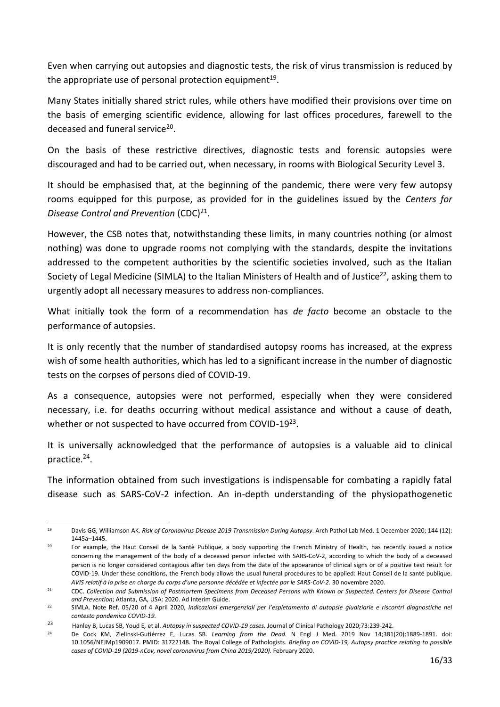Even when carrying out autopsies and diagnostic tests, the risk of virus transmission is reduced by the appropriate use of personal protection equipment<sup>19</sup>.

Many States initially shared strict rules, while others have modified their provisions over time on the basis of emerging scientific evidence, allowing for last offices procedures, farewell to the deceased and funeral service<sup>20</sup>.

On the basis of these restrictive directives, diagnostic tests and forensic autopsies were discouraged and had to be carried out, when necessary, in rooms with Biological Security Level 3.

It should be emphasised that, at the beginning of the pandemic, there were very few autopsy rooms equipped for this purpose, as provided for in the guidelines issued by the *Centers for*  Disease Control and Prevention (CDC)<sup>21</sup>.

However, the CSB notes that, notwithstanding these limits, in many countries nothing (or almost nothing) was done to upgrade rooms not complying with the standards, despite the invitations addressed to the competent authorities by the scientific societies involved, such as the Italian Society of Legal Medicine (SIMLA) to the Italian Ministers of Health and of Justice<sup>22</sup>, asking them to urgently adopt all necessary measures to address non-compliances.

What initially took the form of a recommendation has *de facto* become an obstacle to the performance of autopsies.

It is only recently that the number of standardised autopsy rooms has increased, at the express wish of some health authorities, which has led to a significant increase in the number of diagnostic tests on the corpses of persons died of COVID-19.

As a consequence, autopsies were not performed, especially when they were considered necessary, i.e. for deaths occurring without medical assistance and without a cause of death, whether or not suspected to have occurred from COVID-1923.

It is universally acknowledged that the performance of autopsies is a valuable aid to clinical practice.<sup>24</sup>.

The information obtained from such investigations is indispensable for combating a rapidly fatal disease such as SARS-CoV-2 infection. An in-depth understanding of the physiopathogenetic

<sup>19</sup> Davis GG, Williamson AK. *Risk of Coronavirus Disease 2019 Transmission During Autopsy*. Arch Pathol Lab Med. 1 December 2020; 144 (12): 1445a–1445.

<sup>&</sup>lt;sup>20</sup> For example, the Haut Conseil de la Santè Publique, a body supporting the French Ministry of Health, has recently issued a notice concerning the management of the body of a deceased person infected with SARS-CoV-2, according to which the body of a deceased person is no longer considered contagious after ten days from the date of the appearance of clinical signs or of a positive test result for COVID-19. Under these conditions, the French body allows the usual funeral procedures to be applied: Haut Conseil de la santé publique. *AVIS relatif à la prise en charge du corps d'une personne décédée et infectée par le SARS-CoV-2.* 30 novembre 2020.

<sup>21</sup> CDC. *Collection and Submission of Postmortem Specimens from Deceased Persons with Known or Suspected. Centers for Disease Control and Prevention*; Atlanta, GA, USA: 2020. Ad Interim Guide.

<sup>22</sup> SIMLA. Note Ref. 05/20 of 4 April 2020, *Indicazioni emergenziali per l'espletamento di autopsie giudiziarie e riscontri diagnostiche nel contesto pandemico COVID-19.*

 $23$ Hanley B, Lucas SB, Youd E*,* et al. *Autopsy in suspected COVID-19 cases.* Journal of Clinical Pathology 2020;73:239-242.

 $24$  De Cock KM, Zielinski-Gutiérrez E, Lucas SB. *Learning from the Dead*. N Engl J Med. 2019 Nov 14;381(20):1889-1891. doi: 10.1056/NEJMp1909017. PMID: 31722148. The Royal College of Pathologists. *Briefing on COVID-19, Autopsy practice relating to possible cases of COVID-19 (2019-nCov, novel coronavirus from China 2019/2020)*. February 2020.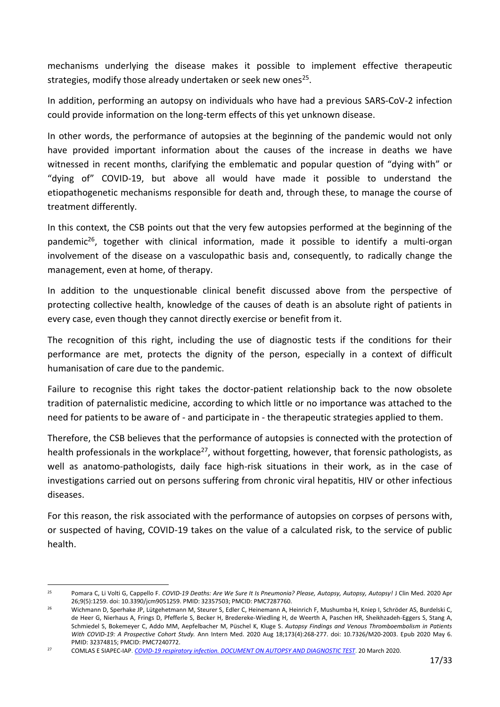mechanisms underlying the disease makes it possible to implement effective therapeutic strategies, modify those already undertaken or seek new ones<sup>25</sup>.

In addition, performing an autopsy on individuals who have had a previous SARS-CoV-2 infection could provide information on the long-term effects of this yet unknown disease.

In other words, the performance of autopsies at the beginning of the pandemic would not only have provided important information about the causes of the increase in deaths we have witnessed in recent months, clarifying the emblematic and popular question of "dying with" or "dying of" COVID-19, but above all would have made it possible to understand the etiopathogenetic mechanisms responsible for death and, through these, to manage the course of treatment differently.

In this context, the CSB points out that the very few autopsies performed at the beginning of the pandemic<sup>26</sup>, together with clinical information, made it possible to identify a multi-organ involvement of the disease on a vasculopathic basis and, consequently, to radically change the management, even at home, of therapy.

In addition to the unquestionable clinical benefit discussed above from the perspective of protecting collective health, knowledge of the causes of death is an absolute right of patients in every case, even though they cannot directly exercise or benefit from it.

The recognition of this right, including the use of diagnostic tests if the conditions for their performance are met, protects the dignity of the person, especially in a context of difficult humanisation of care due to the pandemic.

Failure to recognise this right takes the doctor-patient relationship back to the now obsolete tradition of paternalistic medicine, according to which little or no importance was attached to the need for patients to be aware of - and participate in - the therapeutic strategies applied to them.

Therefore, the CSB believes that the performance of autopsies is connected with the protection of health professionals in the workplace<sup>27</sup>, without forgetting, however, that forensic pathologists, as well as anatomo-pathologists, daily face high-risk situations in their work, as in the case of investigations carried out on persons suffering from chronic viral hepatitis, HIV or other infectious diseases.

For this reason, the risk associated with the performance of autopsies on corpses of persons with, or suspected of having, COVID-19 takes on the value of a calculated risk, to the service of public health.

<sup>25</sup> Pomara C, Li Volti G, Cappello F. *COVID-19 Deaths: Are We Sure It Is Pneumonia? Please, Autopsy, Autopsy, Autopsy!* J Clin Med. 2020 Apr 26;9(5):1259. doi: 10.3390/jcm9051259. PMID: 32357503; PMCID: PMC7287760.

<sup>&</sup>lt;sup>26</sup> Wichmann D, Sperhake JP, Lütgehetmann M, Steurer S, Edler C, Heinemann A, Heinrich F, Mushumba H, Kniep I, Schröder AS, Burdelski C, de Heer G, Nierhaus A, Frings D, Pfefferle S, Becker H, Bredereke-Wiedling H, de Weerth A, Paschen HR, Sheikhzadeh-Eggers S, Stang A, Schmiedel S, Bokemeyer C, Addo MM, Aepfelbacher M, Püschel K, Kluge S. *Autopsy Findings and Venous Thromboembolism in Patients With COVID-19: A Prospective Cohort Study.* Ann Intern Med. 2020 Aug 18;173(4):268-277. doi: 10.7326/M20-2003. Epub 2020 May 6. PMID: 32374815; PMCID: PMC7240772.

<sup>27</sup> COMLAS E SIAPEC-IAP. *COVID-19 [respiratory infection.](https://www.siapec.it/public/uploads/archiviodocumenti/PRD%20COVID-19-9%20FV%20clean.pdf) [DOCUMENT ON AUTOPSY AND DIAGNOSTIC TEST](https://www.siapec.it/public/uploads/archiviodocumenti/PRD%20COVID-19-9%20FV%20clean.pdf)*. 20 March 2020.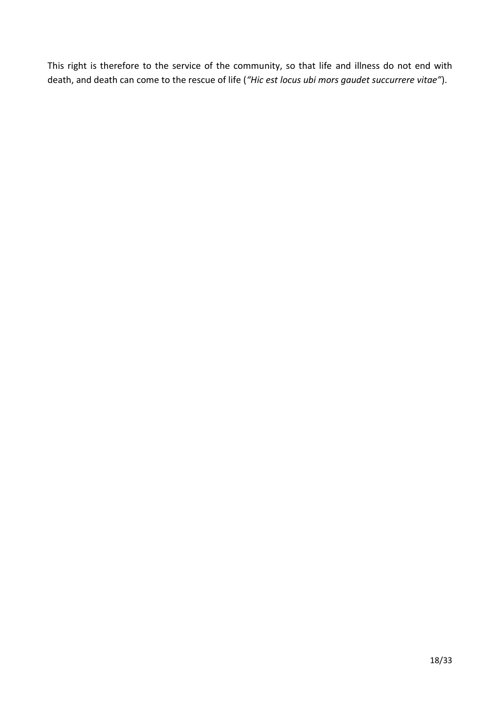This right is therefore to the service of the community, so that life and illness do not end with death, and death can come to the rescue of life (*"Hic est locus ubi mors gaudet succurrere vitae"*).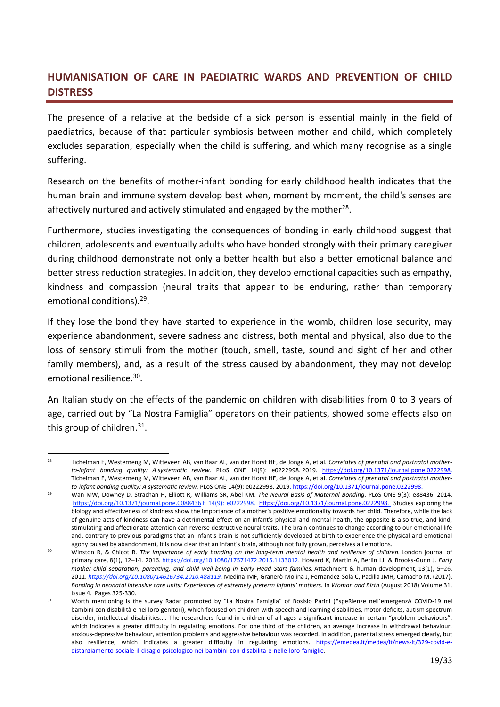## <span id="page-18-0"></span>**HUMANISATION OF CARE IN PAEDIATRIC WARDS AND PREVENTION OF CHILD DISTRESS**

The presence of a relative at the bedside of a sick person is essential mainly in the field of paediatrics, because of that particular symbiosis between mother and child, which completely excludes separation, especially when the child is suffering, and which many recognise as a single suffering.

Research on the benefits of mother-infant bonding for early childhood health indicates that the human brain and immune system develop best when, moment by moment, the child's senses are affectively nurtured and actively stimulated and engaged by the mother<sup>28</sup>.

Furthermore, studies investigating the consequences of bonding in early childhood suggest that children, adolescents and eventually adults who have bonded strongly with their primary caregiver during childhood demonstrate not only a better health but also a better emotional balance and better stress reduction strategies. In addition, they develop emotional capacities such as empathy, kindness and compassion (neural traits that appear to be enduring, rather than temporary emotional conditions).<sup>29</sup>.

If they lose the bond they have started to experience in the womb, children lose security, may experience abandonment, severe sadness and distress, both mental and physical, also due to the loss of sensory stimuli from the mother (touch, smell, taste, sound and sight of her and other family members), and, as a result of the stress caused by abandonment, they may not develop emotional resilience.<sup>30</sup>.

An Italian study on the effects of the pandemic on children with disabilities from 0 to 3 years of age, carried out by "La Nostra Famiglia" operators on their patients, showed some effects also on this group of children.<sup>31</sup>.

<sup>28</sup> Tichelman E, Westerneng M, Witteveen AB, van Baar AL, van der Horst HE, de Jonge A, et al. *Correlates of prenatal and postnatal motherto-infant bonding quality: A systematic review.* PLoS ONE 14(9): e0222998. 2019. [https://doi.org/10.1371/journal.pone.0222998.](https://doi.org/10.1371/journal.pone.0222998)  Tichelman E, Westerneng M, Witteveen AB, van Baar AL, van der Horst HE, de Jonge A, et al. *Correlates of prenatal and postnatal motherto-infant bonding quality: A systematic review.* PLoS ONE 14(9): e0222998. 2019[. https://doi.org/10.1371/journal.pone.0222998.](https://doi.org/10.1371/journal.pone.0222998)

<sup>29</sup> Wan MW, Downey D, Strachan H, Elliott R, Williams SR, Abel KM. *The Neural Basis of Maternal Bonding*. PLoS ONE 9(3): e88436. 2014. <https://doi.org/10.1371/journal.pone.0088436> E 14(9): e0222998. [https://doi.org/10.1371/journal.pone.0222998.](https://doi.org/10.1371/journal.pone.0222998) Studies exploring the biology and effectiveness of kindness show the importance of a mother's positive emotionality towards her child. Therefore, while the lack of genuine acts of kindness can have a detrimental effect on an infant's physical and mental health, the opposite is also true, and kind, stimulating and affectionate attention can reverse destructive neural traits. The brain continues to change according to our emotional life and, contrary to previous paradigms that an infant's brain is not sufficiently developed at birth to experience the physical and emotional agony caused by abandonment, it is now clear that an infant's brain, although not fully grown, perceives all emotions.

<sup>30</sup> Winston R, & Chicot R. *The importance of early bonding on the long-term mental health and resilience of children.* London journal of primary care, 8(1), 12–14. 2016. [https://doi.org/10.1080/17571472.2015.1133012.](https://doi.org/10.1080/17571472.2015.1133012) Howard K, Martin A, Berlin LJ, & Brooks-Gunn J. *Early mother-child separation, parenting, and child well-being in Early Head Start families.* Attachment & human development, 13(1), 5–26. 2011. *[https://doi.org/10.1080/14616734.2010.488119.](https://doi.org/10.1080/14616734.2010.488119)* Medina IMF, Granerò-Molina J, Fernandez-Sola C, Padilla [JMH,](http://j.mh/) Camacho M. (2017). *Bonding in neonatal intensive care units: Experiences of extremely preterm infants' mothers.* In *Woman and Birth* (August 2018) Volume 31, Issue 4. Pages 325-330.

<sup>31</sup> Worth mentioning is the survey Radar promoted by "La Nostra Famiglia" of Bosisio Parini (EspeRienze nell'emergenzA COVID-19 nei bambini con disabilità e nei loro genitori), which focused on children with speech and learning disabilities, motor deficits, autism spectrum disorder, intellectual disabilities.... The researchers found in children of all ages a significant increase in certain "problem behaviours", which indicates a greater difficulty in regulating emotions. For one third of the children, an average increase in withdrawal behaviour, anxious-depressive behaviour, attention problems and aggressive behaviour was recorded. In addition, parental stress emerged clearly, but also resilience, which indicates a greater difficulty in regulating emotions. [https://emedea.it/medea/it/news-it/329-covid-e](https://emedea.it/medea/it/news-it/329-covid-e-distanziamento-sociale-il-disagio-psicologico-nei-bambini-con-disabilita-e-nelle-loro-famiglie)[distanziamento-sociale-il-disagio-psicologico-nei-bambini-con-disabilita-e-nelle-loro-famiglie.](https://emedea.it/medea/it/news-it/329-covid-e-distanziamento-sociale-il-disagio-psicologico-nei-bambini-con-disabilita-e-nelle-loro-famiglie)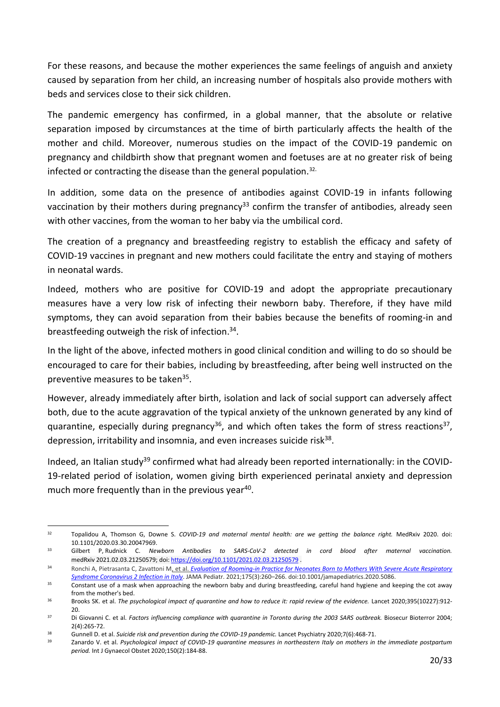For these reasons, and because the mother experiences the same feelings of anguish and anxiety caused by separation from her child, an increasing number of hospitals also provide mothers with beds and services close to their sick children.

The pandemic emergency has confirmed, in a global manner, that the absolute or relative separation imposed by circumstances at the time of birth particularly affects the health of the mother and child. Moreover, numerous studies on the impact of the COVID-19 pandemic on pregnancy and childbirth show that pregnant women and foetuses are at no greater risk of being infected or contracting the disease than the general population.<sup>32</sup>.

In addition, some data on the presence of antibodies against COVID-19 in infants following vaccination by their mothers during pregnancy<sup>33</sup> confirm the transfer of antibodies, already seen with other vaccines, from the woman to her baby via the umbilical cord.

The creation of a pregnancy and breastfeeding registry to establish the efficacy and safety of COVID-19 vaccines in pregnant and new mothers could facilitate the entry and staying of mothers in neonatal wards.

Indeed, mothers who are positive for COVID-19 and adopt the appropriate precautionary measures have a very low risk of infecting their newborn baby. Therefore, if they have mild symptoms, they can avoid separation from their babies because the benefits of rooming-in and breastfeeding outweigh the risk of infection. 34 .

In the light of the above, infected mothers in good clinical condition and willing to do so should be encouraged to care for their babies, including by breastfeeding, after being well instructed on the preventive measures to be taken<sup>35</sup>.

However, already immediately after birth, isolation and lack of social support can adversely affect both, due to the acute aggravation of the typical anxiety of the unknown generated by any kind of quarantine, especially during pregnancy<sup>36</sup>, and which often takes the form of stress reactions<sup>37</sup>, depression, irritability and insomnia, and even increases suicide risk<sup>38</sup>.

Indeed, an Italian study<sup>39</sup> confirmed what had already been reported internationally: in the COVID-19-related period of isolation, women giving birth experienced perinatal anxiety and depression much more frequently than in the previous year<sup>40</sup>.

<sup>32</sup> Topalidou A, Thomson G, Downe S. *COVID-19 and maternal mental health: are we getting the balance right.* MedRxiv 2020. doi: 10.1101/2020.03.30.20047969.

<sup>33</sup> Gilbert P, Rudnick C. *Newborn Antibodies to SARS-CoV-2 detected in cord blood after maternal vaccination.* medRxiv 2021.02.03.21250579; doi: <https://doi.org/10.1101/2021.02.03.21250579> .

<sup>34</sup> [Ronchi A, Pietrasanta C, Zavattoni M, et al.](https://jamanetwork.com/journals/jamapediatrics/fullarticle/2773311) *Evaluation of Rooming-in [Practice for Neonates Born to Mothers With Severe Acute Respiratory](https://jamanetwork.com/journals/jamapediatrics/fullarticle/2773311)  Syndrome [Coronavirus 2 Infection in Italy](https://jamanetwork.com/journals/jamapediatrics/fullarticle/2773311)*. JAMA Pediatr. 2021;175(3):260–266. doi:10.1001/jamapediatrics.2020.5086.

<sup>&</sup>lt;sup>35</sup> Constant use of a mask when approaching the newborn baby and during breastfeeding, careful hand hygiene and keeping the cot away from the mother's bed.

<sup>36</sup> Brooks SK. et al. *The psychological impact of quarantine and how to reduce it: rapid review of the evidence.* Lancet 2020;395(10227):912- 20.

<sup>&</sup>lt;sup>37</sup> Di Giovanni C. et al. *Factors influencing compliance with quarantine in Toronto during the 2003 SARS outbreak. Biosecur Bioterror 2004;* 2(4):265-72.

<sup>&</sup>lt;sup>38</sup> Gunnell D. et al. *Suicide risk and prevention during the COVID-19 pandemic*. Lancet Psychiatry 2020;7(6):468-71.<br><sup>39</sup> Tanardo V. et al. *Beychological impact of COVID-19 quaranting maggures in porthogetory Italy on m* 

Zanardo V. et al. Psychological impact of COVID-19 quarantine measures in northeastern Italy on mothers in the immediate postpartum *period.* Int J Gynaecol Obstet 2020;150(2):184-88.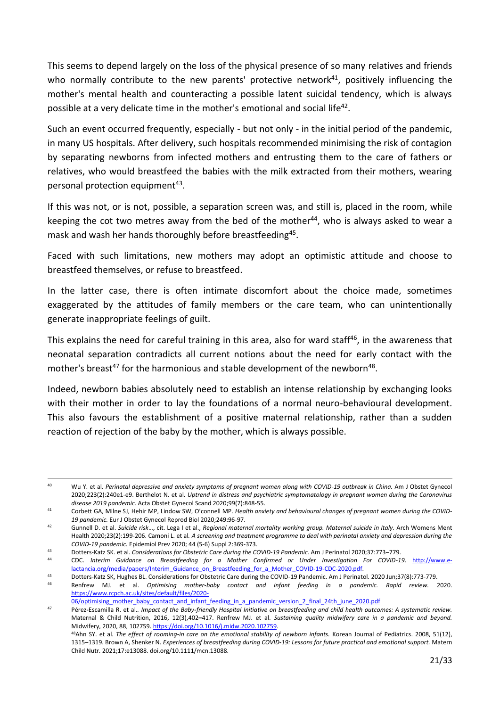This seems to depend largely on the loss of the physical presence of so many relatives and friends who normally contribute to the new parents' protective network $41$ , positively influencing the mother's mental health and counteracting a possible latent suicidal tendency, which is always possible at a very delicate time in the mother's emotional and social life<sup>42</sup>.

Such an event occurred frequently, especially - but not only - in the initial period of the pandemic, in many US hospitals. After delivery, such hospitals recommended minimising the risk of contagion by separating newborns from infected mothers and entrusting them to the care of fathers or relatives, who would breastfeed the babies with the milk extracted from their mothers, wearing personal protection equipment<sup>43</sup>.

If this was not, or is not, possible, a separation screen was, and still is, placed in the room, while keeping the cot two metres away from the bed of the mother<sup>44</sup>, who is always asked to wear a mask and wash her hands thoroughly before breastfeeding<sup>45</sup>.

Faced with such limitations, new mothers may adopt an optimistic attitude and choose to breastfeed themselves, or refuse to breastfeed.

In the latter case, there is often intimate discomfort about the choice made, sometimes exaggerated by the attitudes of family members or the care team, who can unintentionally generate inappropriate feelings of guilt.

This explains the need for careful training in this area, also for ward staff<sup>46</sup>, in the awareness that neonatal separation contradicts all current notions about the need for early contact with the mother's breast<sup>47</sup> for the harmonious and stable development of the newborn<sup>48</sup>.

Indeed, newborn babies absolutely need to establish an intense relationship by exchanging looks with their mother in order to lay the foundations of a normal neuro-behavioural development. This also favours the establishment of a positive maternal relationship, rather than a sudden reaction of rejection of the baby by the mother, which is always possible.

<sup>43</sup> Dotters-Katz SK. et al. *Considerations for Obstetric Care during the COVID-19 Pandemic.* Am J Perinatol 2020;37:773**–**779.

[06/optimising\\_mother\\_baby\\_contact\\_and\\_infant\\_feeding\\_in\\_a\\_pandemic\\_version\\_2\\_final\\_24th\\_june\\_2020.pdf](https://www.rcpch.ac.uk/sites/default/files/2020-06/optimising_mother_baby_contact_and_infant_feeding_in_a_pandemic_version_2_final_24th_june_2020.pdf)

<sup>&</sup>lt;sup>40</sup> Wu Y. et al. *Perinatal depressive and anxiety symptoms of pregnant women along with COVID-19 outbreak in China. Am J Obstet Gynecol* 2020;223(2):240e1-e9. Berthelot N. et al. *Uptrend in distress and psychiatric symptomatology in pregnant women during the Coronavirus disease 2019 pandemic.* Acta Obstet Gynecol Scand 2020;99(7):848-55.

<sup>41</sup> Corbett GA, Milne SJ, Hehir MP, Lindow SW, O'connell MP. *Health anxiety and behavioural changes of pregnant women during the COVID-19 pandemic.* Eur J Obstet Gynecol Reprod Biol 2020;249:96-97.

<sup>42</sup> Gunnell D. et al. *Suicide risk*…, cit. Lega I et al., *Regional maternal mortality working group. Maternal suicide in Italy.* Arch Womens Ment Health 2020;23(2):199-206. Camoni L. et al*. A screening and treatment programme to deal with perinatal anxiety and depression during the COVID-19 pandemic.* Epidemiol Prev 2020; 44 (5-6) Suppl 2:369-373.

<sup>44</sup> CDC. *Interim Guidance on Breastfeeding for a Mother Confirmed or Under Investigation For COVID-19*. [http://www.e](http://www.e-lactancia.org/media/papers/Interim_Guidance_on_Breastfeeding_for_a_Mother_COVID-19-CDC-2020.pdf)lactancia.org/media/papers/Interim\_Guidance\_on\_Breastfeeding\_for\_a\_Mother\_COVID-19-CDC-2020.pdf.

<sup>45</sup> Dotters-Katz SK, Hughes BL. Considerations for Obstetric Care during the COVID-19 Pandemic. Am J Perinatol. 2020 Jun;37(8):773-779. <sup>46</sup> Renfrew MJ. et al. *Optimising mother‐baby contact and infant feeding in a pandemic. Rapid review.* 2020. [https://www.rcpch.ac.uk/sites/default/files/2020-](https://www.rcpch.ac.uk/sites/default/files/2020-06/optimising_mother_baby_contact_and_infant_feeding_in_a_pandemic_version_2_final_24th_june_2020.pdf)

<sup>47</sup> Pérez**‐**Escamilla R. et al.*. Impact of the Baby‐friendly Hospital Initiative on breastfeeding and child health outcomes: A systematic review.* Maternal & Child Nutrition, 2016, 12(3),402**–**417. Renfrew MJ. et al. *Sustaining quality midwifery care in a pandemic and beyond.* Midwifery, 2020, 88, 102759[. https://doi.org/10.1016/j.midw.2020.102759.](https://doi.org/10.1016/j.midw.2020.102759)

<sup>48</sup>Ahn SY. et al. *The effect of rooming‐in care on the emotional stability of newborn infants.* Korean Journal of Pediatrics. 2008, 51(12), 1315**–**1319. Brown A, Shenker N. *Experiences of breastfeeding during COVID‐19: Lessons for future practical and emotional support.* Matern Child Nutr. 2021;17:e13088. doi.org/10.1111/mcn.13088.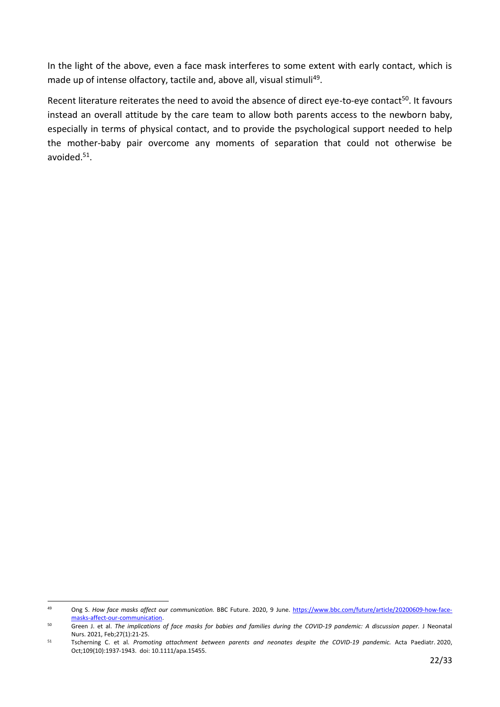In the light of the above, even a face mask interferes to some extent with early contact, which is made up of intense olfactory, tactile and, above all, visual stimuli<sup>49</sup>.

Recent literature reiterates the need to avoid the absence of direct eye-to-eye contact<sup>50</sup>. It favours instead an overall attitude by the care team to allow both parents access to the newborn baby, especially in terms of physical contact, and to provide the psychological support needed to help the mother-baby pair overcome any moments of separation that could not otherwise be avoided.<sup>51</sup> .

<sup>49</sup> Ong S. *How face masks affect our communication.* BBC Future. 2020, 9 June. [https://www.bbc.com/future/article/20200609-how-face](https://www.bbc.com/future/article/20200609-how-face-masks-affect-our-communication)[masks-affect-our-communication.](https://www.bbc.com/future/article/20200609-how-face-masks-affect-our-communication)

<sup>50</sup> Green J. et al. *The implications of face masks for babies and families during the COVID-19 pandemic: A discussion paper.* J Neonatal Nurs. 2021, Feb;27(1):21-25.

<sup>51</sup> Tscherning C. et al. *Promoting attachment between parents and neonates despite the COVID-19 pandemic.* Acta Paediatr. 2020, Oct;109(10):1937-1943. doi: 10.1111/apa.15455.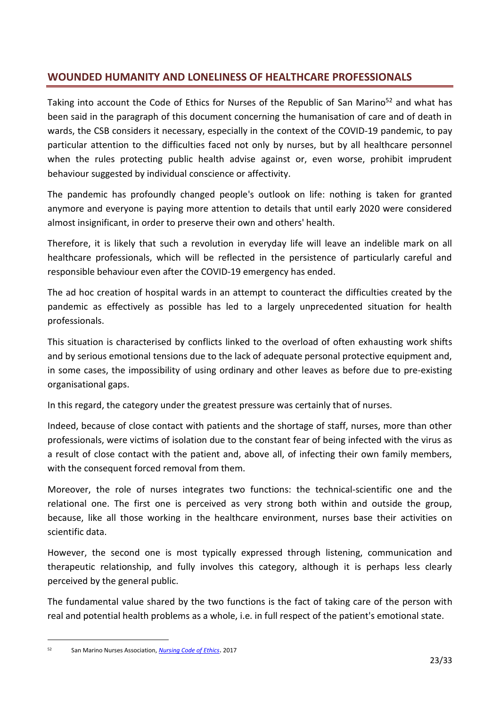## <span id="page-22-0"></span>**WOUNDED HUMANITY AND LONELINESS OF HEALTHCARE PROFESSIONALS**

Taking into account the Code of Ethics for Nurses of the Republic of San Marino<sup>52</sup> and what has been said in the paragraph of this document concerning the humanisation of care and of death in wards, the CSB considers it necessary, especially in the context of the COVID-19 pandemic, to pay particular attention to the difficulties faced not only by nurses, but by all healthcare personnel when the rules protecting public health advise against or, even worse, prohibit imprudent behaviour suggested by individual conscience or affectivity.

The pandemic has profoundly changed people's outlook on life: nothing is taken for granted anymore and everyone is paying more attention to details that until early 2020 were considered almost insignificant, in order to preserve their own and others' health.

Therefore, it is likely that such a revolution in everyday life will leave an indelible mark on all healthcare professionals, which will be reflected in the persistence of particularly careful and responsible behaviour even after the COVID-19 emergency has ended.

The ad hoc creation of hospital wards in an attempt to counteract the difficulties created by the pandemic as effectively as possible has led to a largely unprecedented situation for health professionals.

This situation is characterised by conflicts linked to the overload of often exhausting work shifts and by serious emotional tensions due to the lack of adequate personal protective equipment and, in some cases, the impossibility of using ordinary and other leaves as before due to pre-existing organisational gaps.

In this regard, the category under the greatest pressure was certainly that of nurses.

Indeed, because of close contact with patients and the shortage of staff, nurses, more than other professionals, were victims of isolation due to the constant fear of being infected with the virus as a result of close contact with the patient and, above all, of infecting their own family members, with the consequent forced removal from them.

Moreover, the role of nurses integrates two functions: the technical-scientific one and the relational one. The first one is perceived as very strong both within and outside the group, because, like all those working in the healthcare environment, nurses base their activities on scientific data.

However, the second one is most typically expressed through listening, communication and therapeutic relationship, and fully involves this category, although it is perhaps less clearly perceived by the general public.

The fundamental value shared by the two functions is the fact of taking care of the person with real and potential health problems as a whole, i.e. in full respect of the patient's emotional state.

<sup>52</sup> San Marino Nurses Association, *[Nursing Code of Ethics](file:///C:/Users/albin/Downloads/2093713CodiceAIS_Ingles.pdf)*. 2017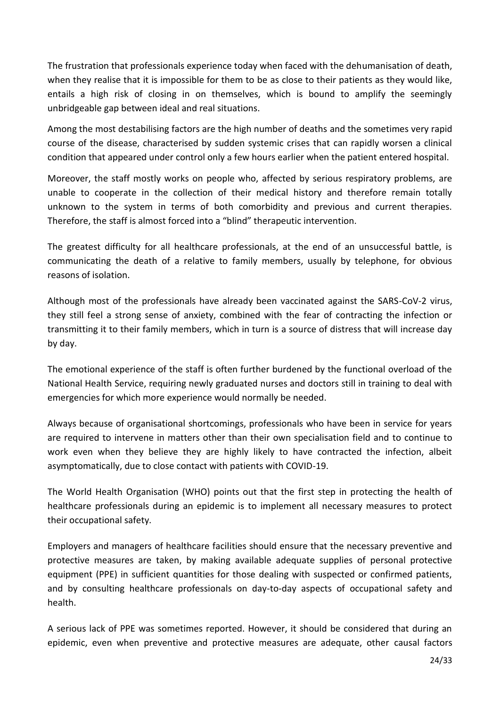The frustration that professionals experience today when faced with the dehumanisation of death, when they realise that it is impossible for them to be as close to their patients as they would like, entails a high risk of closing in on themselves, which is bound to amplify the seemingly unbridgeable gap between ideal and real situations.

Among the most destabilising factors are the high number of deaths and the sometimes very rapid course of the disease, characterised by sudden systemic crises that can rapidly worsen a clinical condition that appeared under control only a few hours earlier when the patient entered hospital.

Moreover, the staff mostly works on people who, affected by serious respiratory problems, are unable to cooperate in the collection of their medical history and therefore remain totally unknown to the system in terms of both comorbidity and previous and current therapies. Therefore, the staff is almost forced into a "blind" therapeutic intervention.

The greatest difficulty for all healthcare professionals, at the end of an unsuccessful battle, is communicating the death of a relative to family members, usually by telephone, for obvious reasons of isolation.

Although most of the professionals have already been vaccinated against the SARS-CoV-2 virus, they still feel a strong sense of anxiety, combined with the fear of contracting the infection or transmitting it to their family members, which in turn is a source of distress that will increase day by day.

The emotional experience of the staff is often further burdened by the functional overload of the National Health Service, requiring newly graduated nurses and doctors still in training to deal with emergencies for which more experience would normally be needed.

Always because of organisational shortcomings, professionals who have been in service for years are required to intervene in matters other than their own specialisation field and to continue to work even when they believe they are highly likely to have contracted the infection, albeit asymptomatically, due to close contact with patients with COVID-19.

The World Health Organisation (WHO) points out that the first step in protecting the health of healthcare professionals during an epidemic is to implement all necessary measures to protect their occupational safety.

Employers and managers of healthcare facilities should ensure that the necessary preventive and protective measures are taken, by making available adequate supplies of personal protective equipment (PPE) in sufficient quantities for those dealing with suspected or confirmed patients, and by consulting healthcare professionals on day-to-day aspects of occupational safety and health.

A serious lack of PPE was sometimes reported. However, it should be considered that during an epidemic, even when preventive and protective measures are adequate, other causal factors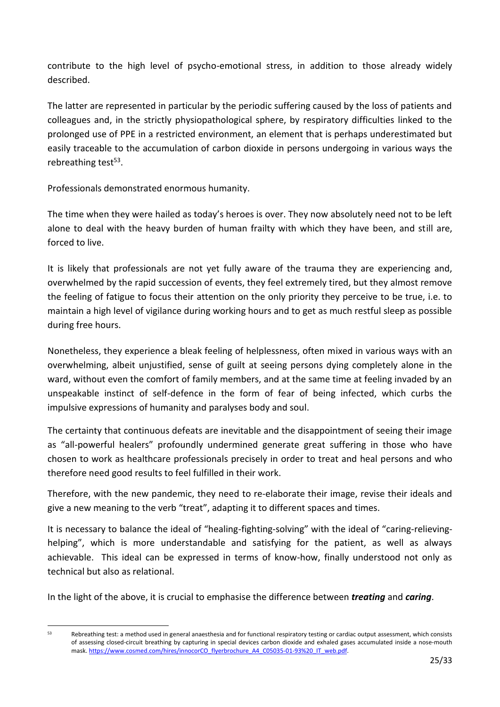contribute to the high level of psycho-emotional stress, in addition to those already widely described.

The latter are represented in particular by the periodic suffering caused by the loss of patients and colleagues and, in the strictly physiopathological sphere, by respiratory difficulties linked to the prolonged use of PPE in a restricted environment, an element that is perhaps underestimated but easily traceable to the accumulation of carbon dioxide in persons undergoing in various ways the rebreathing test<sup>53</sup>.

Professionals demonstrated enormous humanity.

The time when they were hailed as today's heroes is over. They now absolutely need not to be left alone to deal with the heavy burden of human frailty with which they have been, and still are, forced to live.

It is likely that professionals are not yet fully aware of the trauma they are experiencing and, overwhelmed by the rapid succession of events, they feel extremely tired, but they almost remove the feeling of fatigue to focus their attention on the only priority they perceive to be true, i.e. to maintain a high level of vigilance during working hours and to get as much restful sleep as possible during free hours.

Nonetheless, they experience a bleak feeling of helplessness, often mixed in various ways with an overwhelming, albeit unjustified, sense of guilt at seeing persons dying completely alone in the ward, without even the comfort of family members, and at the same time at feeling invaded by an unspeakable instinct of self-defence in the form of fear of being infected, which curbs the impulsive expressions of humanity and paralyses body and soul.

The certainty that continuous defeats are inevitable and the disappointment of seeing their image as "all-powerful healers" profoundly undermined generate great suffering in those who have chosen to work as healthcare professionals precisely in order to treat and heal persons and who therefore need good results to feel fulfilled in their work.

Therefore, with the new pandemic, they need to re-elaborate their image, revise their ideals and give a new meaning to the verb "treat", adapting it to different spaces and times.

It is necessary to balance the ideal of "healing-fighting-solving" with the ideal of "caring-relievinghelping", which is more understandable and satisfying for the patient, as well as always achievable. This ideal can be expressed in terms of know-how, finally understood not only as technical but also as relational.

In the light of the above, it is crucial to emphasise the difference between *treating* and *caring*.

<sup>53</sup> Rebreathing test: a method used in general anaesthesia and for functional respiratory testing or cardiac output assessment, which consists of assessing closed-circuit breathing by capturing in special devices carbon dioxide and exhaled gases accumulated inside a nose-mouth mask[. https://www.cosmed.com/hires/innocorCO\\_flyerbrochure\\_A4\\_C05035-01-93%20\\_IT\\_web.pdf.](https://www.cosmed.com/hires/innocorCO_flyerbrochure_A4_C05035-01-93%20_IT_web.pdf)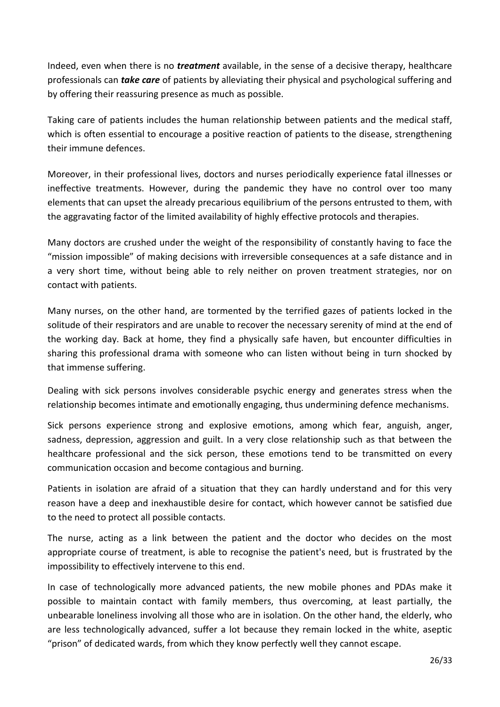Indeed, even when there is no *treatment* available, in the sense of a decisive therapy, healthcare professionals can *take care* of patients by alleviating their physical and psychological suffering and by offering their reassuring presence as much as possible.

Taking care of patients includes the human relationship between patients and the medical staff, which is often essential to encourage a positive reaction of patients to the disease, strengthening their immune defences.

Moreover, in their professional lives, doctors and nurses periodically experience fatal illnesses or ineffective treatments. However, during the pandemic they have no control over too many elements that can upset the already precarious equilibrium of the persons entrusted to them, with the aggravating factor of the limited availability of highly effective protocols and therapies.

Many doctors are crushed under the weight of the responsibility of constantly having to face the "mission impossible" of making decisions with irreversible consequences at a safe distance and in a very short time, without being able to rely neither on proven treatment strategies, nor on contact with patients.

Many nurses, on the other hand, are tormented by the terrified gazes of patients locked in the solitude of their respirators and are unable to recover the necessary serenity of mind at the end of the working day. Back at home, they find a physically safe haven, but encounter difficulties in sharing this professional drama with someone who can listen without being in turn shocked by that immense suffering.

Dealing with sick persons involves considerable psychic energy and generates stress when the relationship becomes intimate and emotionally engaging, thus undermining defence mechanisms.

Sick persons experience strong and explosive emotions, among which fear, anguish, anger, sadness, depression, aggression and guilt. In a very close relationship such as that between the healthcare professional and the sick person, these emotions tend to be transmitted on every communication occasion and become contagious and burning.

Patients in isolation are afraid of a situation that they can hardly understand and for this very reason have a deep and inexhaustible desire for contact, which however cannot be satisfied due to the need to protect all possible contacts.

The nurse, acting as a link between the patient and the doctor who decides on the most appropriate course of treatment, is able to recognise the patient's need, but is frustrated by the impossibility to effectively intervene to this end.

In case of technologically more advanced patients, the new mobile phones and PDAs make it possible to maintain contact with family members, thus overcoming, at least partially, the unbearable loneliness involving all those who are in isolation. On the other hand, the elderly, who are less technologically advanced, suffer a lot because they remain locked in the white, aseptic "prison" of dedicated wards, from which they know perfectly well they cannot escape.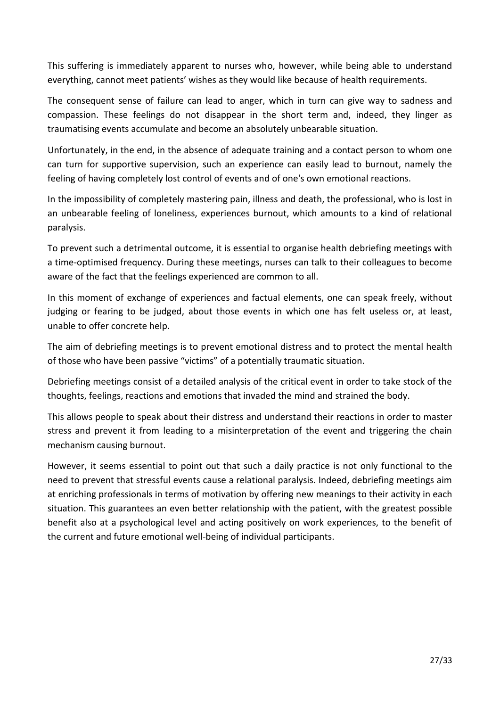This suffering is immediately apparent to nurses who, however, while being able to understand everything, cannot meet patients' wishes as they would like because of health requirements.

The consequent sense of failure can lead to anger, which in turn can give way to sadness and compassion. These feelings do not disappear in the short term and, indeed, they linger as traumatising events accumulate and become an absolutely unbearable situation.

Unfortunately, in the end, in the absence of adequate training and a contact person to whom one can turn for supportive supervision, such an experience can easily lead to burnout, namely the feeling of having completely lost control of events and of one's own emotional reactions.

In the impossibility of completely mastering pain, illness and death, the professional, who is lost in an unbearable feeling of loneliness, experiences burnout, which amounts to a kind of relational paralysis.

To prevent such a detrimental outcome, it is essential to organise health debriefing meetings with a time-optimised frequency. During these meetings, nurses can talk to their colleagues to become aware of the fact that the feelings experienced are common to all.

In this moment of exchange of experiences and factual elements, one can speak freely, without judging or fearing to be judged, about those events in which one has felt useless or, at least, unable to offer concrete help.

The aim of debriefing meetings is to prevent emotional distress and to protect the mental health of those who have been passive "victims" of a potentially traumatic situation.

Debriefing meetings consist of a detailed analysis of the critical event in order to take stock of the thoughts, feelings, reactions and emotions that invaded the mind and strained the body.

This allows people to speak about their distress and understand their reactions in order to master stress and prevent it from leading to a misinterpretation of the event and triggering the chain mechanism causing burnout.

However, it seems essential to point out that such a daily practice is not only functional to the need to prevent that stressful events cause a relational paralysis. Indeed, debriefing meetings aim at enriching professionals in terms of motivation by offering new meanings to their activity in each situation. This guarantees an even better relationship with the patient, with the greatest possible benefit also at a psychological level and acting positively on work experiences, to the benefit of the current and future emotional well-being of individual participants.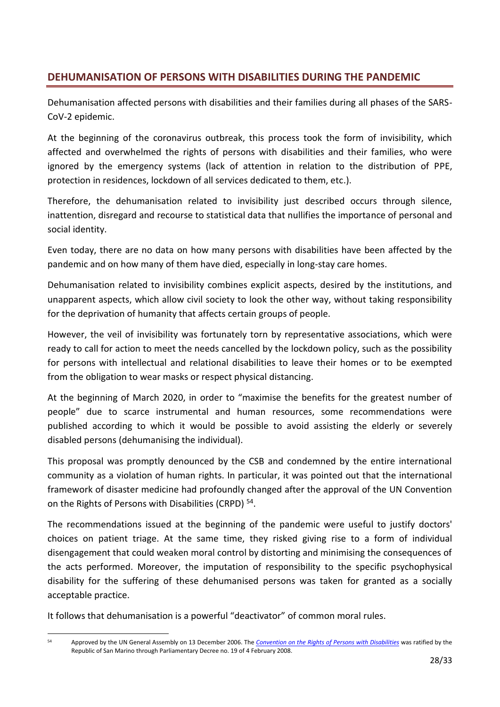## <span id="page-27-0"></span>**DEHUMANISATION OF PERSONS WITH DISABILITIES DURING THE PANDEMIC**

Dehumanisation affected persons with disabilities and their families during all phases of the SARS-CoV-2 epidemic.

At the beginning of the coronavirus outbreak, this process took the form of invisibility, which affected and overwhelmed the rights of persons with disabilities and their families, who were ignored by the emergency systems (lack of attention in relation to the distribution of PPE, protection in residences, lockdown of all services dedicated to them, etc.).

Therefore, the dehumanisation related to invisibility just described occurs through silence, inattention, disregard and recourse to statistical data that nullifies the importance of personal and social identity.

Even today, there are no data on how many persons with disabilities have been affected by the pandemic and on how many of them have died, especially in long-stay care homes.

Dehumanisation related to invisibility combines explicit aspects, desired by the institutions, and unapparent aspects, which allow civil society to look the other way, without taking responsibility for the deprivation of humanity that affects certain groups of people.

However, the veil of invisibility was fortunately torn by representative associations, which were ready to call for action to meet the needs cancelled by the lockdown policy, such as the possibility for persons with intellectual and relational disabilities to leave their homes or to be exempted from the obligation to wear masks or respect physical distancing.

At the beginning of March 2020, in order to "maximise the benefits for the greatest number of people" due to scarce instrumental and human resources, some recommendations were published according to which it would be possible to avoid assisting the elderly or severely disabled persons (dehumanising the individual).

This proposal was promptly denounced by the CSB and condemned by the entire international community as a violation of human rights. In particular, it was pointed out that the international framework of disaster medicine had profoundly changed after the approval of the UN Convention on the Rights of Persons with Disabilities (CRPD)<sup>54</sup>.

The recommendations issued at the beginning of the pandemic were useful to justify doctors' choices on patient triage. At the same time, they risked giving rise to a form of individual disengagement that could weaken moral control by distorting and minimising the consequences of the acts performed. Moreover, the imputation of responsibility to the specific psychophysical disability for the suffering of these dehumanised persons was taken for granted as a socially acceptable practice.

It follows that dehumanisation is a powerful "deactivator" of common moral rules.

<sup>54</sup> Approved by the UN General Assembly on 13 December 2006. The *Convention [on the Rights of Persons with](https://www.un.org/disabilities/documents/convention/convoptprot-e.pdf) Disabilities* was ratified by the Republic of San Marino through Parliamentary Decree no. 19 of 4 February 2008.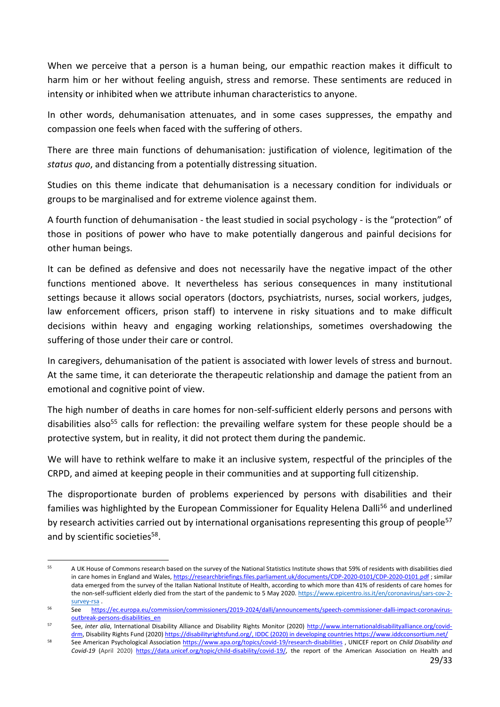When we perceive that a person is a human being, our empathic reaction makes it difficult to harm him or her without feeling anguish, stress and remorse. These sentiments are reduced in intensity or inhibited when we attribute inhuman characteristics to anyone.

In other words, dehumanisation attenuates, and in some cases suppresses, the empathy and compassion one feels when faced with the suffering of others.

There are three main functions of dehumanisation: justification of violence, legitimation of the *status quo*, and distancing from a potentially distressing situation.

Studies on this theme indicate that dehumanisation is a necessary condition for individuals or groups to be marginalised and for extreme violence against them.

A fourth function of dehumanisation - the least studied in social psychology - is the "protection" of those in positions of power who have to make potentially dangerous and painful decisions for other human beings.

It can be defined as defensive and does not necessarily have the negative impact of the other functions mentioned above. It nevertheless has serious consequences in many institutional settings because it allows social operators (doctors, psychiatrists, nurses, social workers, judges, law enforcement officers, prison staff) to intervene in risky situations and to make difficult decisions within heavy and engaging working relationships, sometimes overshadowing the suffering of those under their care or control.

In caregivers, dehumanisation of the patient is associated with lower levels of stress and burnout. At the same time, it can deteriorate the therapeutic relationship and damage the patient from an emotional and cognitive point of view.

The high number of deaths in care homes for non-self-sufficient elderly persons and persons with disabilities also<sup>55</sup> calls for reflection: the prevailing welfare system for these people should be a protective system, but in reality, it did not protect them during the pandemic.

We will have to rethink welfare to make it an inclusive system, respectful of the principles of the CRPD, and aimed at keeping people in their communities and at supporting full citizenship.

The disproportionate burden of problems experienced by persons with disabilities and their families was highlighted by the European Commissioner for Equality Helena Dalli<sup>56</sup> and underlined by research activities carried out by international organisations representing this group of people<sup>57</sup> and by scientific societies<sup>58</sup>.

<sup>55</sup> A UK House of Commons research based on the survey of the National Statistics Institute shows that 59% of residents with disabilities died in care homes in England and Wales,<https://researchbriefings.files.parliament.uk/documents/CDP-2020-0101/CDP-2020-0101.pdf>; similar data emerged from the survey of the Italian National Institute of Health, according to which more than 41% of residents of care homes for the non-self-sufficient elderly died from the start of the pandemic to 5 May 2020[. https://www.epicentro.iss.it/en/coronavirus/sars-cov-2](https://www.epicentro.iss.it/en/coronavirus/sars-cov-2-survey-rsa) [survey-rsa](https://www.epicentro.iss.it/en/coronavirus/sars-cov-2-survey-rsa) .

<sup>56</sup> See [https://ec.europa.eu/commission/commissioners/2019-2024/dalli/announcements/speech-commissioner-dalli-impact-coronavirus](https://ec.europa.eu/commission/commissioners/2019-2024/dalli/announcements/speech-commissioner-dalli-impact-coronavirus-outbreak-persons-disabilities_en)[outbreak-persons-disabilities\\_en](https://ec.europa.eu/commission/commissioners/2019-2024/dalli/announcements/speech-commissioner-dalli-impact-coronavirus-outbreak-persons-disabilities_en)

<sup>57</sup> See, *inter alia*, International Disability Alliance and Disability Rights Monitor (2020) [http://www.internationaldisabilityalliance.org/covid](http://www.internationaldisabilityalliance.org/covid-drm)[drm,](http://www.internationaldisabilityalliance.org/covid-drm) Disability Rights Fund (2020[\) https://disabilityrightsfund.org/,](https://disabilityrightsfund.org/) IDDC (2020) in developing countrie[s https://www.iddcconsortium.net/](https://www.iddcconsortium.net/)

<sup>58</sup> See American Psychological Association<https://www.apa.org/topics/covid-19/research-disabilities> , UNICEF report on *Child Disability and Covid-19* (April 2020) [https://data.unicef.org/topic/child-disability/covid-19/,](https://data.unicef.org/topic/child-disability/covid-19/) the report of the American Association on Health and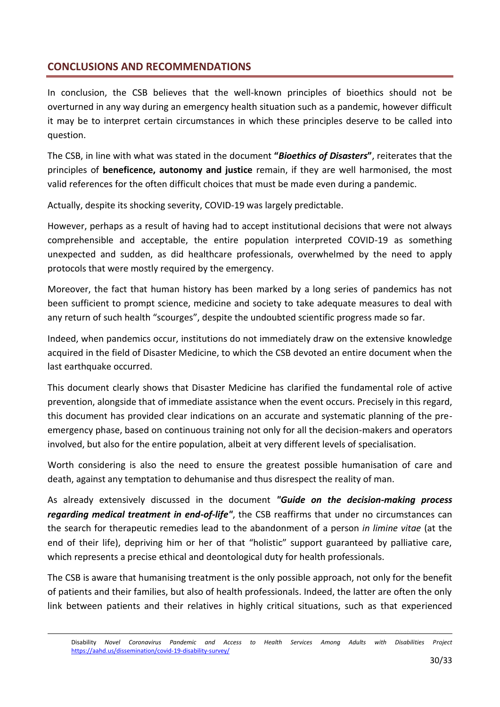#### <span id="page-29-0"></span>**CONCLUSIONS AND RECOMMENDATIONS**

In conclusion, the CSB believes that the well-known principles of bioethics should not be overturned in any way during an emergency health situation such as a pandemic, however difficult it may be to interpret certain circumstances in which these principles deserve to be called into question.

The CSB, in line with what was stated in the document **"***Bioethics of Disasters***"**, reiterates that the principles of **beneficence, autonomy and justice** remain, if they are well harmonised, the most valid references for the often difficult choices that must be made even during a pandemic.

Actually, despite its shocking severity, COVID-19 was largely predictable.

However, perhaps as a result of having had to accept institutional decisions that were not always comprehensible and acceptable, the entire population interpreted COVID-19 as something unexpected and sudden, as did healthcare professionals, overwhelmed by the need to apply protocols that were mostly required by the emergency.

Moreover, the fact that human history has been marked by a long series of pandemics has not been sufficient to prompt science, medicine and society to take adequate measures to deal with any return of such health "scourges", despite the undoubted scientific progress made so far.

Indeed, when pandemics occur, institutions do not immediately draw on the extensive knowledge acquired in the field of Disaster Medicine, to which the CSB devoted an entire document when the last earthquake occurred.

This document clearly shows that Disaster Medicine has clarified the fundamental role of active prevention, alongside that of immediate assistance when the event occurs. Precisely in this regard, this document has provided clear indications on an accurate and systematic planning of the preemergency phase, based on continuous training not only for all the decision-makers and operators involved, but also for the entire population, albeit at very different levels of specialisation.

Worth considering is also the need to ensure the greatest possible humanisation of care and death, against any temptation to dehumanise and thus disrespect the reality of man.

As already extensively discussed in the document *"Guide on the decision-making process regarding medical treatment in end-of-life"*, the CSB reaffirms that under no circumstances can the search for therapeutic remedies lead to the abandonment of a person *in limine vitae* (at the end of their life), depriving him or her of that "holistic" support guaranteed by palliative care, which represents a precise ethical and deontological duty for health professionals.

The CSB is aware that humanising treatment is the only possible approach, not only for the benefit of patients and their families, but also of health professionals. Indeed, the latter are often the only link between patients and their relatives in highly critical situations, such as that experienced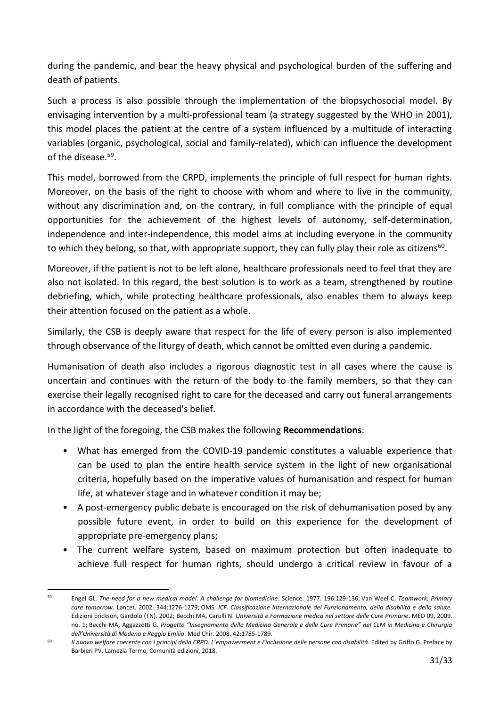during the pandemic, and bear the heavy physical and psychological burden of the suffering and death of patients.

Such a process is also possible through the implementation of the biopsychosocial model. By envisaging intervention by a multi-professional team (a strategy suggested by the WHO in 2001), this model places the patient at the centre of a system influenced by a multitude of interacting variables (organic, psychological, social and family-related), which can influence the development of the disease.<sup>59</sup>.

This model, borrowed from the CRPD, implements the principle of full respect for human rights. Moreover, on the basis of the right to choose with whom and where to live in the community, without any discrimination and, on the contrary, in full compliance with the principle of equal opportunities for the achievement of the highest levels of autonomy, self-determination, independence and inter-independence, this model aims at including everyone in the community to which they belong, so that, with appropriate support, they can fully play their role as citizens<sup>60</sup>.

Moreover, if the patient is not to be left alone, healthcare professionals need to feel that they are also not isolated. In this regard, the best solution is to work as a team, strengthened by routine debriefing, which, while protecting healthcare professionals, also enables them to always keep their attention focused on the patient as a whole.

Similarly, the CSB is deeply aware that respect for the life of every person is also implemented through observance of the liturgy of death, which cannot be omitted even during a pandemic.

Humanisation of death also includes a rigorous diagnostic test in all cases where the cause is uncertain and continues with the return of the body to the family members, so that they can exercise their legally recognised right to care for the deceased and carry out funeral arrangements in accordance with the deceased's belief.

In the light of the foregoing, the CSB makes the following **Recommendations**:

- What has emerged from the COVID-19 pandemic constitutes a valuable experience that can be used to plan the entire health service system in the light of new organisational criteria, hopefully based on the imperative values of humanisation and respect for human life, at whatever stage and in whatever condition it may be;
- A post-emergency public debate is encouraged on the risk of dehumanisation posed by any possible future event, in order to build on this experience for the development of appropriate pre-emergency plans;
- The current welfare system, based on maximum protection but often inadequate to achieve full respect for human rights, should undergo a critical review in favour of a

<sup>59</sup> Engel GL. *The need for a new medical model. A challenge for biomedicine*. Science. 1977. 196:129-136; Van Weel C. *Teamwork. Primary care tomorrow*. Lancet. 2002. 344:1276-1279; OMS. *ICF. Classificazione Internazionale del Funzionamento, della disabilità e della salute.*  Edizioni Erickson, Gardolo (TN). 2002; Becchi MA, Carulli N. *Università e Formazione medica nel settore delle Cure Primarie*. MED 09, 2009. no. 1; Becchi MA, Aggazzotti G. *Progetto "Insegnamento della Medicina Generale e delle Cure Primarie" nel CLM in Medicina e Chirurgia dell'Università di Modena e Reggio Emilia*. Med Chir. 2008. 42:1785-1789.

<sup>60</sup> *Il nuovo welfare coerente con i principi della CRPD. L'empowerment e l'inclusione delle persone con disabilità.* Edited by Griffo G. Preface by Barbieri PV. Lamezia Terme, Comunità edizioni, 2018.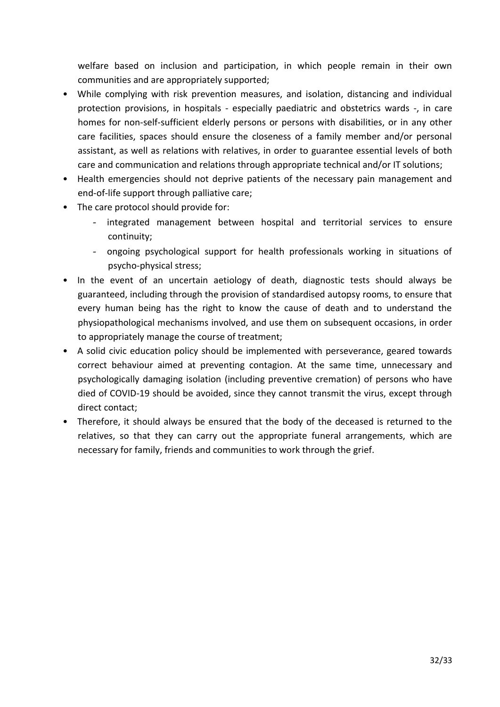welfare based on inclusion and participation, in which people remain in their own communities and are appropriately supported;

- While complying with risk prevention measures, and isolation, distancing and individual protection provisions, in hospitals - especially paediatric and obstetrics wards -, in care homes for non-self-sufficient elderly persons or persons with disabilities, or in any other care facilities, spaces should ensure the closeness of a family member and/or personal assistant, as well as relations with relatives, in order to guarantee essential levels of both care and communication and relations through appropriate technical and/or IT solutions;
- Health emergencies should not deprive patients of the necessary pain management and end-of-life support through palliative care;
- The care protocol should provide for:
	- integrated management between hospital and territorial services to ensure continuity;
	- ongoing psychological support for health professionals working in situations of psycho-physical stress;
- In the event of an uncertain aetiology of death, diagnostic tests should always be guaranteed, including through the provision of standardised autopsy rooms, to ensure that every human being has the right to know the cause of death and to understand the physiopathological mechanisms involved, and use them on subsequent occasions, in order to appropriately manage the course of treatment;
- A solid civic education policy should be implemented with perseverance, geared towards correct behaviour aimed at preventing contagion. At the same time, unnecessary and psychologically damaging isolation (including preventive cremation) of persons who have died of COVID-19 should be avoided, since they cannot transmit the virus, except through direct contact;
- Therefore, it should always be ensured that the body of the deceased is returned to the relatives, so that they can carry out the appropriate funeral arrangements, which are necessary for family, friends and communities to work through the grief.